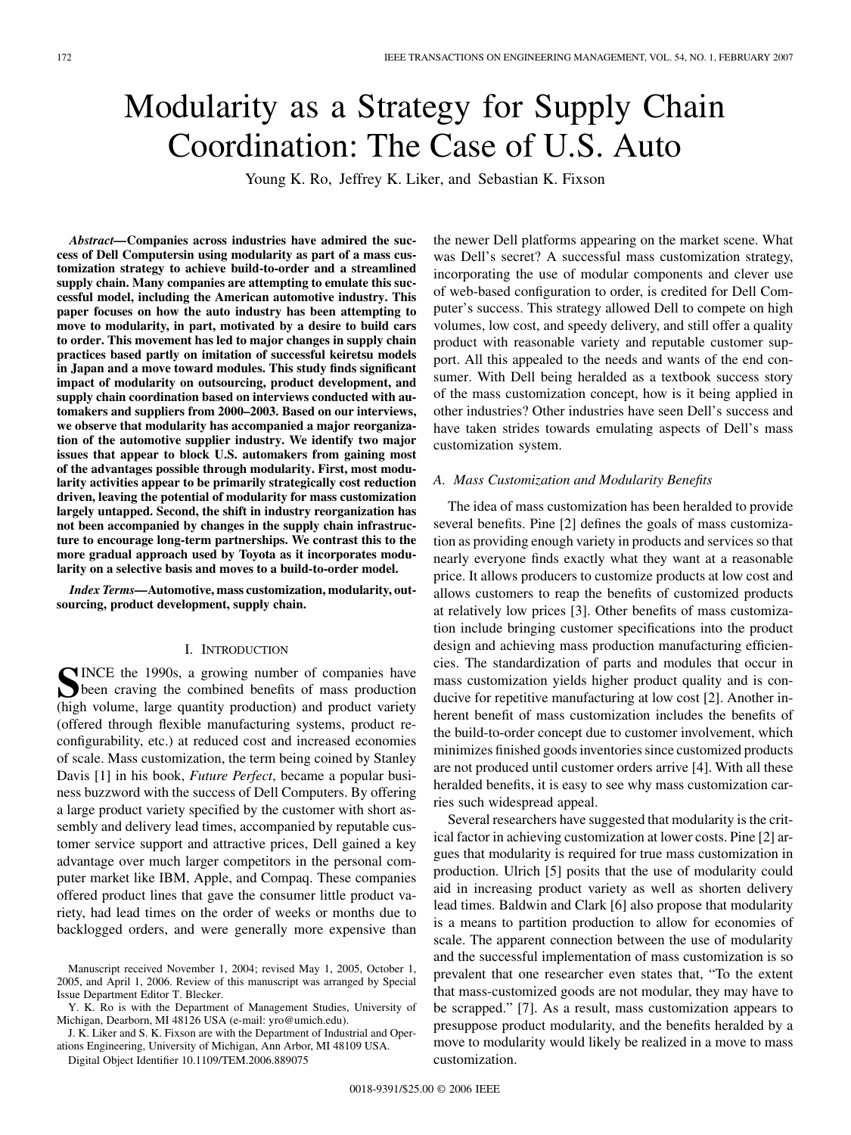# Modularity as a Strategy for Supply Chain Coordination: The Case of U.S. Auto

Young K. Ro, Jeffrey K. Liker, and Sebastian K. Fixson

*Abstract—***Companies across industries have admired the success of Dell Computersin using modularity as part of a mass customization strategy to achieve build-to-order and a streamlined supply chain. Many companies are attempting to emulate this successful model, including the American automotive industry. This paper focuses on how the auto industry has been attempting to move to modularity, in part, motivated by a desire to build cars to order. This movement has led to major changes in supply chain practices based partly on imitation of successful keiretsu models in Japan and a move toward modules. This study finds significant impact of modularity on outsourcing, product development, and supply chain coordination based on interviews conducted with automakers and suppliers from 2000–2003. Based on our interviews, we observe that modularity has accompanied a major reorganization of the automotive supplier industry. We identify two major issues that appear to block U.S. automakers from gaining most of the advantages possible through modularity. First, most modularity activities appear to be primarily strategically cost reduction driven, leaving the potential of modularity for mass customization largely untapped. Second, the shift in industry reorganization has not been accompanied by changes in the supply chain infrastructure to encourage long-term partnerships. We contrast this to the more gradual approach used by Toyota as it incorporates modularity on a selective basis and moves to a build-to-order model.**

*Index Terms—***Automotive, mass customization, modularity, outsourcing, product development, supply chain.**

#### I. INTRODUCTION

SINCE the 1990s, a growing number of companies have<br>been craving the combined benefits of mass production<br>(high volume large quantity production) and product veristy (high volume, large quantity production) and product variety (offered through flexible manufacturing systems, product reconfigurability, etc.) at reduced cost and increased economies of scale. Mass customization, the term being coined by Stanley Davis [\[1\]](#page-16-0) in his book, *Future Perfect*, became a popular business buzzword with the success of Dell Computers. By offering a large product variety specified by the customer with short assembly and delivery lead times, accompanied by reputable customer service support and attractive prices, Dell gained a key advantage over much larger competitors in the personal computer market like IBM, Apple, and Compaq. These companies offered product lines that gave the consumer little product variety, had lead times on the order of weeks or months due to backlogged orders, and were generally more expensive than

J. K. Liker and S. K. Fixson are with the Department of Industrial and Operations Engineering, University of Michigan, Ann Arbor, MI 48109 USA.

Digital Object Identifier 10.1109/TEM.2006.889075

the newer Dell platforms appearing on the market scene. What was Dell's secret? A successful mass customization strategy, incorporating the use of modular components and clever use of web-based configuration to order, is credited for Dell Computer's success. This strategy allowed Dell to compete on high volumes, low cost, and speedy delivery, and still offer a quality product with reasonable variety and reputable customer support. All this appealed to the needs and wants of the end consumer. With Dell being heralded as a textbook success story of the mass customization concept, how is it being applied in other industries? Other industries have seen Dell's success and have taken strides towards emulating aspects of Dell's mass customization system.

# *A. Mass Customization and Modularity Benefits*

The idea of mass customization has been heralded to provide several benefits. Pine [\[2\]](#page-16-0) defines the goals of mass customization as providing enough variety in products and services so that nearly everyone finds exactly what they want at a reasonable price. It allows producers to customize products at low cost and allows customers to reap the benefits of customized products at relatively low prices [\[3\].](#page-16-0) Other benefits of mass customization include bringing customer specifications into the product design and achieving mass production manufacturing efficiencies. The standardization of parts and modules that occur in mass customization yields higher product quality and is conducive for repetitive manufacturing at low cost [\[2\].](#page-16-0) Another inherent benefit of mass customization includes the benefits of the build-to-order concept due to customer involvement, which minimizes finished goods inventories since customized products are not produced until customer orders arrive [\[4\]](#page-16-0). With all these heralded benefits, it is easy to see why mass customization carries such widespread appeal.

Several researchers have suggested that modularity is the critical factor in achieving customization at lower costs. Pine [\[2\]](#page-16-0) argues that modularity is required for true mass customization in production. Ulrich [\[5\]](#page-16-0) posits that the use of modularity could aid in increasing product variety as well as shorten delivery lead times. Baldwin and Clark [\[6\]](#page-16-0) also propose that modularity is a means to partition production to allow for economies of scale. The apparent connection between the use of modularity and the successful implementation of mass customization is so prevalent that one researcher even states that, "To the extent that mass-customized goods are not modular, they may have to be scrapped." [\[7\].](#page-16-0) As a result, mass customization appears to presuppose product modularity, and the benefits heralded by a move to modularity would likely be realized in a move to mass customization.

Manuscript received November 1, 2004; revised May 1, 2005, October 1, 2005, and April 1, 2006. Review of this manuscript was arranged by Special Issue Department Editor T. Blecker.

Y. K. Ro is with the Department of Management Studies, University of Michigan, Dearborn, MI 48126 USA (e-mail: yro@umich.edu).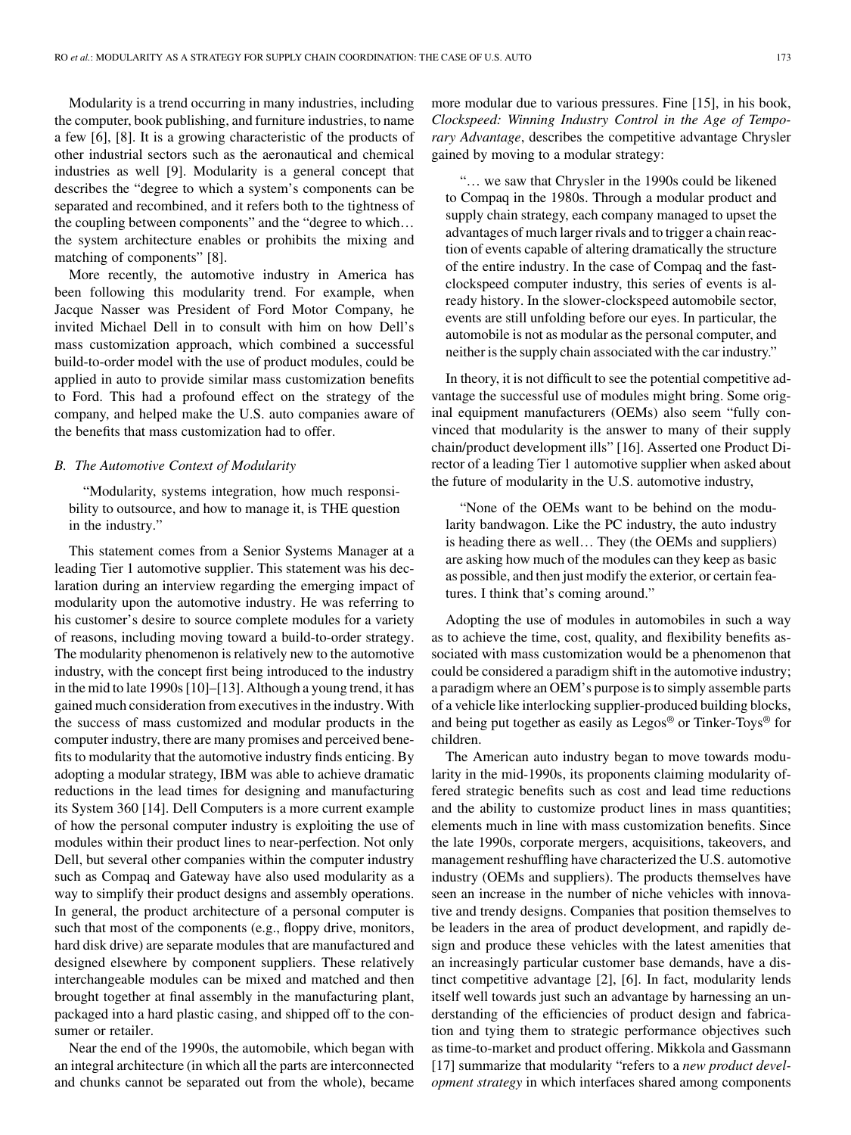Modularity is a trend occurring in many industries, including the computer, book publishing, and furniture industries, to name a few [\[6\]](#page-16-0), [\[8\]](#page-16-0). It is a growing characteristic of the products of other industrial sectors such as the aeronautical and chemical industries as well [\[9\].](#page-16-0) Modularity is a general concept that describes the "degree to which a system's components can be separated and recombined, and it refers both to the tightness of the coupling between components" and the "degree to which… the system architecture enables or prohibits the mixing and matching of components" [\[8\]](#page-16-0).

More recently, the automotive industry in America has been following this modularity trend. For example, when Jacque Nasser was President of Ford Motor Company, he invited Michael Dell in to consult with him on how Dell's mass customization approach, which combined a successful build-to-order model with the use of product modules, could be applied in auto to provide similar mass customization benefits to Ford. This had a profound effect on the strategy of the company, and helped make the U.S. auto companies aware of the benefits that mass customization had to offer.

#### *B. The Automotive Context of Modularity*

"Modularity, systems integration, how much responsibility to outsource, and how to manage it, is THE question in the industry."

This statement comes from a Senior Systems Manager at a leading Tier 1 automotive supplier. This statement was his declaration during an interview regarding the emerging impact of modularity upon the automotive industry. He was referring to his customer's desire to source complete modules for a variety of reasons, including moving toward a build-to-order strategy. The modularity phenomenon is relatively new to the automotive industry, with the concept first being introduced to the industry in the mid to late 1990s [\[10\]–\[13\].](#page-16-0) Although a young trend, it has gained much consideration from executives in the industry. With the success of mass customized and modular products in the computer industry, there are many promises and perceived benefits to modularity that the automotive industry finds enticing. By adopting a modular strategy, IBM was able to achieve dramatic reductions in the lead times for designing and manufacturing its System 360 [\[14\].](#page-16-0) Dell Computers is a more current example of how the personal computer industry is exploiting the use of modules within their product lines to near-perfection. Not only Dell, but several other companies within the computer industry such as Compaq and Gateway have also used modularity as a way to simplify their product designs and assembly operations. In general, the product architecture of a personal computer is such that most of the components (e.g., floppy drive, monitors, hard disk drive) are separate modules that are manufactured and designed elsewhere by component suppliers. These relatively interchangeable modules can be mixed and matched and then brought together at final assembly in the manufacturing plant, packaged into a hard plastic casing, and shipped off to the consumer or retailer.

Near the end of the 1990s, the automobile, which began with an integral architecture (in which all the parts are interconnected and chunks cannot be separated out from the whole), became more modular due to various pressures. Fine [\[15\]](#page-16-0), in his book, *Clockspeed: Winning Industry Control in the Age of Temporary Advantage*, describes the competitive advantage Chrysler gained by moving to a modular strategy:

"… we saw that Chrysler in the 1990s could be likened to Compaq in the 1980s. Through a modular product and supply chain strategy, each company managed to upset the advantages of much larger rivals and to trigger a chain reaction of events capable of altering dramatically the structure of the entire industry. In the case of Compaq and the fastclockspeed computer industry, this series of events is already history. In the slower-clockspeed automobile sector, events are still unfolding before our eyes. In particular, the automobile is not as modular as the personal computer, and neither is the supply chain associated with the car industry."

In theory, it is not difficult to see the potential competitive advantage the successful use of modules might bring. Some original equipment manufacturers (OEMs) also seem "fully convinced that modularity is the answer to many of their supply chain/product development ills" [\[16\]](#page-16-0). Asserted one Product Director of a leading Tier 1 automotive supplier when asked about the future of modularity in the U.S. automotive industry,

"None of the OEMs want to be behind on the modularity bandwagon. Like the PC industry, the auto industry is heading there as well… They (the OEMs and suppliers) are asking how much of the modules can they keep as basic as possible, and then just modify the exterior, or certain features. I think that's coming around."

Adopting the use of modules in automobiles in such a way as to achieve the time, cost, quality, and flexibility benefits associated with mass customization would be a phenomenon that could be considered a paradigm shift in the automotive industry; a paradigm where an OEM's purpose is to simply assemble parts of a vehicle like interlocking supplier-produced building blocks, and being put together as easily as Legos® or Tinker-Toys® for children.

The American auto industry began to move towards modularity in the mid-1990s, its proponents claiming modularity offered strategic benefits such as cost and lead time reductions and the ability to customize product lines in mass quantities; elements much in line with mass customization benefits. Since the late 1990s, corporate mergers, acquisitions, takeovers, and management reshuffling have characterized the U.S. automotive industry (OEMs and suppliers). The products themselves have seen an increase in the number of niche vehicles with innovative and trendy designs. Companies that position themselves to be leaders in the area of product development, and rapidly design and produce these vehicles with the latest amenities that an increasingly particular customer base demands, have a distinct competitive advantage [\[2\], \[6\]](#page-16-0). In fact, modularity lends itself well towards just such an advantage by harnessing an understanding of the efficiencies of product design and fabrication and tying them to strategic performance objectives such as time-to-market and product offering. Mikkola and Gassmann [\[17\]](#page-16-0) summarize that modularity "refers to a *new product development strategy* in which interfaces shared among components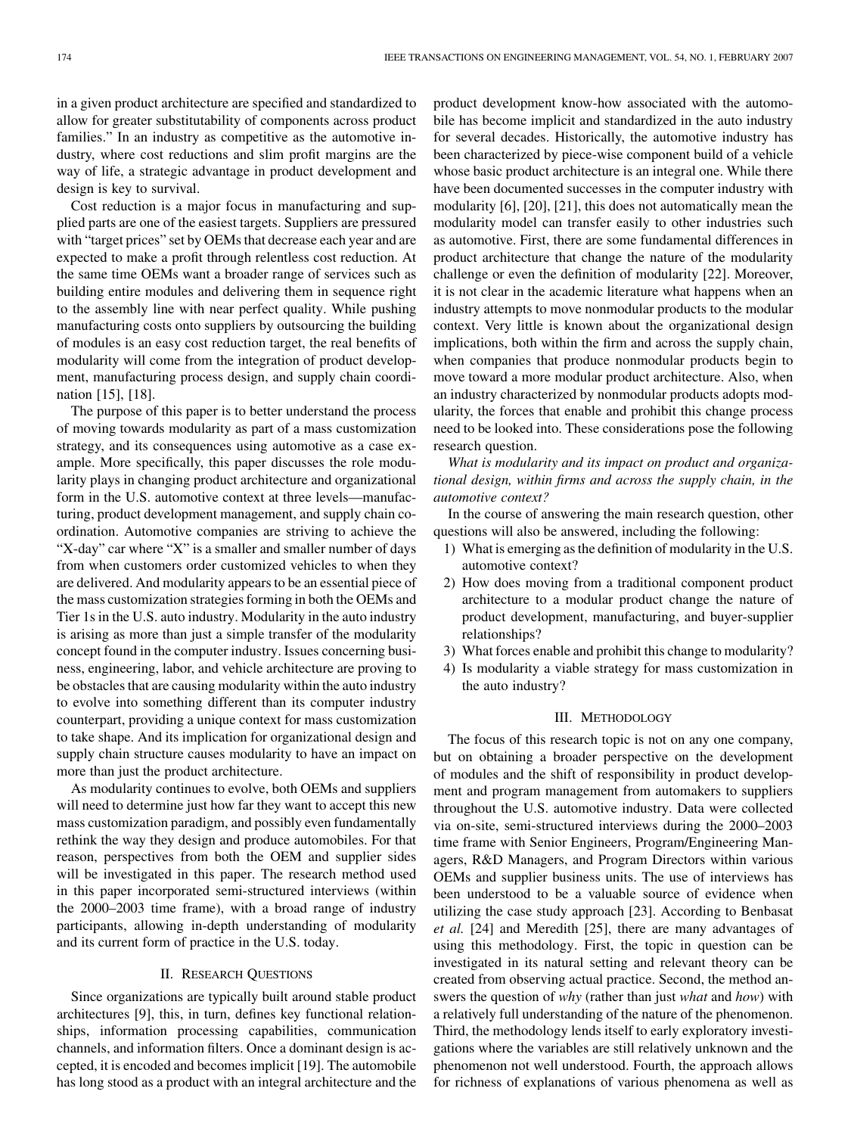in a given product architecture are specified and standardized to allow for greater substitutability of components across product families." In an industry as competitive as the automotive industry, where cost reductions and slim profit margins are the way of life, a strategic advantage in product development and design is key to survival.

Cost reduction is a major focus in manufacturing and supplied parts are one of the easiest targets. Suppliers are pressured with "target prices" set by OEMs that decrease each year and are expected to make a profit through relentless cost reduction. At the same time OEMs want a broader range of services such as building entire modules and delivering them in sequence right to the assembly line with near perfect quality. While pushing manufacturing costs onto suppliers by outsourcing the building of modules is an easy cost reduction target, the real benefits of modularity will come from the integration of product development, manufacturing process design, and supply chain coordination [\[15\]](#page-16-0), [\[18\]](#page-16-0).

The purpose of this paper is to better understand the process of moving towards modularity as part of a mass customization strategy, and its consequences using automotive as a case example. More specifically, this paper discusses the role modularity plays in changing product architecture and organizational form in the U.S. automotive context at three levels—manufacturing, product development management, and supply chain coordination. Automotive companies are striving to achieve the "X-day" car where "X" is a smaller and smaller number of days from when customers order customized vehicles to when they are delivered. And modularity appears to be an essential piece of the mass customization strategies forming in both the OEMs and Tier 1s in the U.S. auto industry. Modularity in the auto industry is arising as more than just a simple transfer of the modularity concept found in the computer industry. Issues concerning business, engineering, labor, and vehicle architecture are proving to be obstacles that are causing modularity within the auto industry to evolve into something different than its computer industry counterpart, providing a unique context for mass customization to take shape. And its implication for organizational design and supply chain structure causes modularity to have an impact on more than just the product architecture.

As modularity continues to evolve, both OEMs and suppliers will need to determine just how far they want to accept this new mass customization paradigm, and possibly even fundamentally rethink the way they design and produce automobiles. For that reason, perspectives from both the OEM and supplier sides will be investigated in this paper. The research method used in this paper incorporated semi-structured interviews (within the 2000–2003 time frame), with a broad range of industry participants, allowing in-depth understanding of modularity and its current form of practice in the U.S. today.

#### II. RESEARCH QUESTIONS

Since organizations are typically built around stable product architectures [\[9\]](#page-16-0), this, in turn, defines key functional relationships, information processing capabilities, communication channels, and information filters. Once a dominant design is accepted, it is encoded and becomes implicit [\[19\].](#page-16-0) The automobile has long stood as a product with an integral architecture and the

product development know-how associated with the automobile has become implicit and standardized in the auto industry for several decades. Historically, the automotive industry has been characterized by piece-wise component build of a vehicle whose basic product architecture is an integral one. While there have been documented successes in the computer industry with modularity [\[6\]](#page-16-0), [\[20\], \[21\]](#page-16-0), this does not automatically mean the modularity model can transfer easily to other industries such as automotive. First, there are some fundamental differences in product architecture that change the nature of the modularity challenge or even the definition of modularity [\[22\]](#page-17-0). Moreover, it is not clear in the academic literature what happens when an industry attempts to move nonmodular products to the modular context. Very little is known about the organizational design implications, both within the firm and across the supply chain, when companies that produce nonmodular products begin to move toward a more modular product architecture. Also, when an industry characterized by nonmodular products adopts modularity, the forces that enable and prohibit this change process need to be looked into. These considerations pose the following research question.

*What is modularity and its impact on product and organizational design, within firms and across the supply chain, in the automotive context?*

In the course of answering the main research question, other questions will also be answered, including the following:

- 1) What is emerging as the definition of modularity in the U.S. automotive context?
- 2) How does moving from a traditional component product architecture to a modular product change the nature of product development, manufacturing, and buyer-supplier relationships?
- 3) What forces enable and prohibit this change to modularity?
- 4) Is modularity a viable strategy for mass customization in the auto industry?

#### III. METHODOLOGY

The focus of this research topic is not on any one company, but on obtaining a broader perspective on the development of modules and the shift of responsibility in product development and program management from automakers to suppliers throughout the U.S. automotive industry. Data were collected via on-site, semi-structured interviews during the 2000–2003 time frame with Senior Engineers, Program/Engineering Managers, R&D Managers, and Program Directors within various OEMs and supplier business units. The use of interviews has been understood to be a valuable source of evidence when utilizing the case study approach [\[23\]](#page-17-0). According to Benbasat *et al.* [\[24\]](#page-17-0) and Meredith [\[25\]](#page-17-0), there are many advantages of using this methodology. First, the topic in question can be investigated in its natural setting and relevant theory can be created from observing actual practice. Second, the method answers the question of *why* (rather than just *what* and *how*) with a relatively full understanding of the nature of the phenomenon. Third, the methodology lends itself to early exploratory investigations where the variables are still relatively unknown and the phenomenon not well understood. Fourth, the approach allows for richness of explanations of various phenomena as well as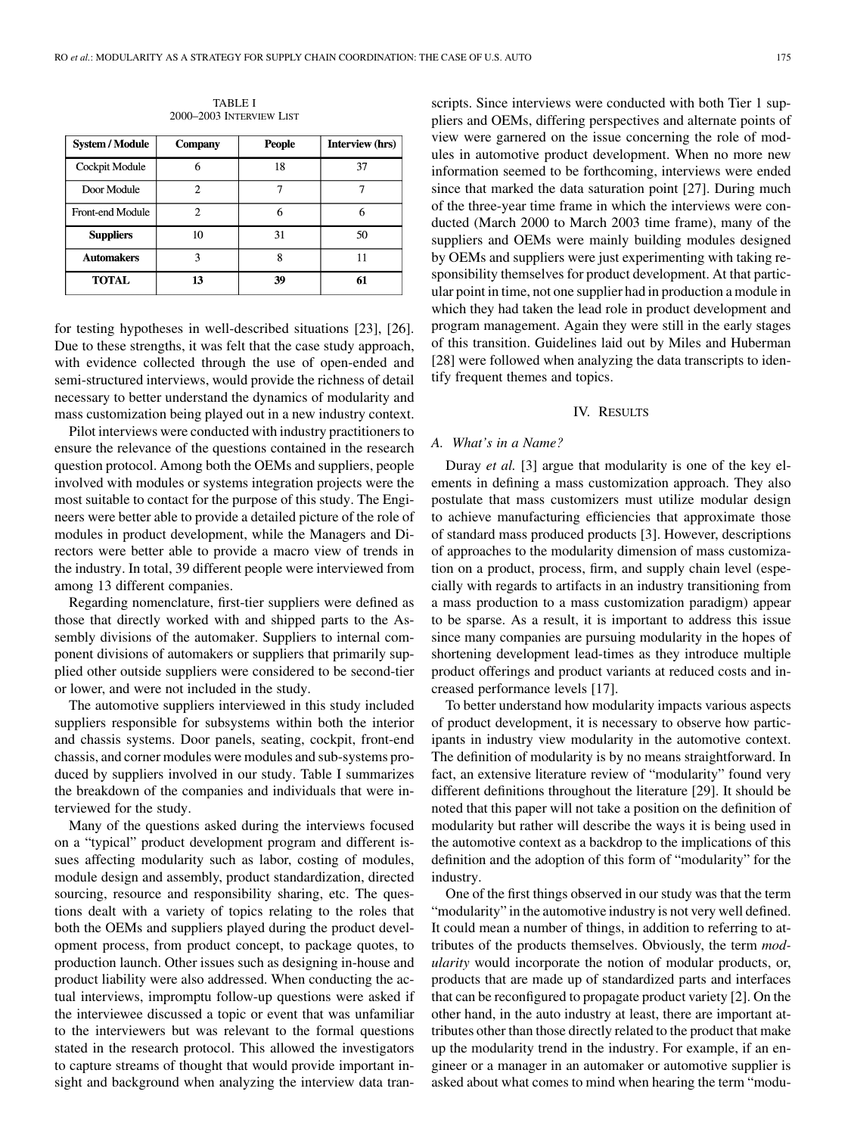| System / Module   | <b>Company</b> | People | Interview (hrs) |
|-------------------|----------------|--------|-----------------|
| Cockpit Module    | 6              | 18     | 37              |
| Door Module       | 2              |        |                 |
| Front-end Module  | 2              | 6      | 6               |
| <b>Suppliers</b>  | 10             | 31     | 50              |
| <b>Automakers</b> | ٩              |        | 11              |
| <b>TOTAL</b>      | 13             | 39     | 61              |

TABLE I 2000–2003 INTERVIEW LIST

for testing hypotheses in well-described situations [\[23\], \[26\].](#page-17-0) Due to these strengths, it was felt that the case study approach, with evidence collected through the use of open-ended and semi-structured interviews, would provide the richness of detail necessary to better understand the dynamics of modularity and mass customization being played out in a new industry context.

Pilot interviews were conducted with industry practitioners to ensure the relevance of the questions contained in the research question protocol. Among both the OEMs and suppliers, people involved with modules or systems integration projects were the most suitable to contact for the purpose of this study. The Engineers were better able to provide a detailed picture of the role of modules in product development, while the Managers and Directors were better able to provide a macro view of trends in the industry. In total, 39 different people were interviewed from among 13 different companies.

Regarding nomenclature, first-tier suppliers were defined as those that directly worked with and shipped parts to the Assembly divisions of the automaker. Suppliers to internal component divisions of automakers or suppliers that primarily supplied other outside suppliers were considered to be second-tier or lower, and were not included in the study.

The automotive suppliers interviewed in this study included suppliers responsible for subsystems within both the interior and chassis systems. Door panels, seating, cockpit, front-end chassis, and corner modules were modules and sub-systems produced by suppliers involved in our study. Table I summarizes the breakdown of the companies and individuals that were interviewed for the study.

Many of the questions asked during the interviews focused on a "typical" product development program and different issues affecting modularity such as labor, costing of modules, module design and assembly, product standardization, directed sourcing, resource and responsibility sharing, etc. The questions dealt with a variety of topics relating to the roles that both the OEMs and suppliers played during the product development process, from product concept, to package quotes, to production launch. Other issues such as designing in-house and product liability were also addressed. When conducting the actual interviews, impromptu follow-up questions were asked if the interviewee discussed a topic or event that was unfamiliar to the interviewers but was relevant to the formal questions stated in the research protocol. This allowed the investigators to capture streams of thought that would provide important insight and background when analyzing the interview data transcripts. Since interviews were conducted with both Tier 1 suppliers and OEMs, differing perspectives and alternate points of view were garnered on the issue concerning the role of modules in automotive product development. When no more new information seemed to be forthcoming, interviews were ended since that marked the data saturation point [\[27\]](#page-17-0). During much of the three-year time frame in which the interviews were conducted (March 2000 to March 2003 time frame), many of the suppliers and OEMs were mainly building modules designed by OEMs and suppliers were just experimenting with taking responsibility themselves for product development. At that particular point in time, not one supplier had in production a module in which they had taken the lead role in product development and program management. Again they were still in the early stages of this transition. Guidelines laid out by Miles and Huberman [\[28\]](#page-17-0) were followed when analyzing the data transcripts to identify frequent themes and topics.

# IV. RESULTS

# *A. What's in a Name?*

Duray *et al.* [\[3\]](#page-16-0) argue that modularity is one of the key elements in defining a mass customization approach. They also postulate that mass customizers must utilize modular design to achieve manufacturing efficiencies that approximate those of standard mass produced products [\[3\].](#page-16-0) However, descriptions of approaches to the modularity dimension of mass customization on a product, process, firm, and supply chain level (especially with regards to artifacts in an industry transitioning from a mass production to a mass customization paradigm) appear to be sparse. As a result, it is important to address this issue since many companies are pursuing modularity in the hopes of shortening development lead-times as they introduce multiple product offerings and product variants at reduced costs and increased performance levels [\[17\]](#page-16-0).

To better understand how modularity impacts various aspects of product development, it is necessary to observe how participants in industry view modularity in the automotive context. The definition of modularity is by no means straightforward. In fact, an extensive literature review of "modularity" found very different definitions throughout the literature [\[29\]](#page-17-0). It should be noted that this paper will not take a position on the definition of modularity but rather will describe the ways it is being used in the automotive context as a backdrop to the implications of this definition and the adoption of this form of "modularity" for the industry.

One of the first things observed in our study was that the term "modularity" in the automotive industry is not very well defined. It could mean a number of things, in addition to referring to attributes of the products themselves. Obviously, the term *modularity* would incorporate the notion of modular products, or, products that are made up of standardized parts and interfaces that can be reconfigured to propagate product variety [\[2\]](#page-16-0). On the other hand, in the auto industry at least, there are important attributes other than those directly related to the product that make up the modularity trend in the industry. For example, if an engineer or a manager in an automaker or automotive supplier is asked about what comes to mind when hearing the term "modu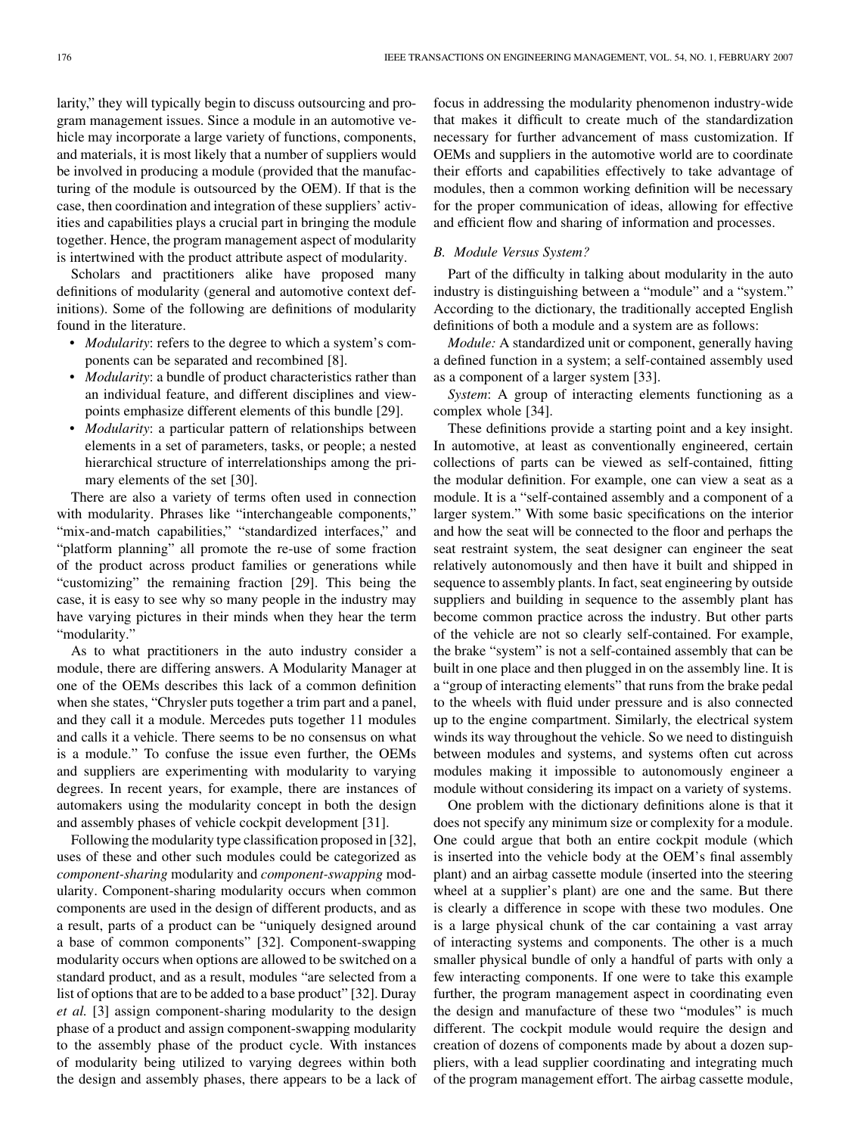larity," they will typically begin to discuss outsourcing and program management issues. Since a module in an automotive vehicle may incorporate a large variety of functions, components, and materials, it is most likely that a number of suppliers would be involved in producing a module (provided that the manufacturing of the module is outsourced by the OEM). If that is the case, then coordination and integration of these suppliers' activities and capabilities plays a crucial part in bringing the module together. Hence, the program management aspect of modularity is intertwined with the product attribute aspect of modularity.

Scholars and practitioners alike have proposed many definitions of modularity (general and automotive context definitions). Some of the following are definitions of modularity found in the literature.

- *Modularity*: refers to the degree to which a system's components can be separated and recombined [\[8\]](#page-16-0).
- *Modularity*: a bundle of product characteristics rather than an individual feature, and different disciplines and viewpoints emphasize different elements of this bundle [\[29\]](#page-17-0).
- *Modularity*: a particular pattern of relationships between elements in a set of parameters, tasks, or people; a nested hierarchical structure of interrelationships among the primary elements of the set [\[30\].](#page-17-0)

There are also a variety of terms often used in connection with modularity. Phrases like "interchangeable components," "mix-and-match capabilities," "standardized interfaces," and "platform planning" all promote the re-use of some fraction of the product across product families or generations while "customizing" the remaining fraction [\[29\].](#page-17-0) This being the case, it is easy to see why so many people in the industry may have varying pictures in their minds when they hear the term "modularity."

As to what practitioners in the auto industry consider a module, there are differing answers. A Modularity Manager at one of the OEMs describes this lack of a common definition when she states, "Chrysler puts together a trim part and a panel, and they call it a module. Mercedes puts together 11 modules and calls it a vehicle. There seems to be no consensus on what is a module." To confuse the issue even further, the OEMs and suppliers are experimenting with modularity to varying degrees. In recent years, for example, there are instances of automakers using the modularity concept in both the design and assembly phases of vehicle cockpit development [\[31\]](#page-17-0).

Following the modularity type classification proposed in [\[32\]](#page-17-0), uses of these and other such modules could be categorized as *component-sharing* modularity and *component-swapping* modularity. Component-sharing modularity occurs when common components are used in the design of different products, and as a result, parts of a product can be "uniquely designed around a base of common components" [\[32\].](#page-17-0) Component-swapping modularity occurs when options are allowed to be switched on a standard product, and as a result, modules "are selected from a list of options that are to be added to a base product" [\[32\]](#page-17-0). Duray *et al.* [\[3\]](#page-16-0) assign component-sharing modularity to the design phase of a product and assign component-swapping modularity to the assembly phase of the product cycle. With instances of modularity being utilized to varying degrees within both the design and assembly phases, there appears to be a lack of focus in addressing the modularity phenomenon industry-wide that makes it difficult to create much of the standardization necessary for further advancement of mass customization. If OEMs and suppliers in the automotive world are to coordinate their efforts and capabilities effectively to take advantage of modules, then a common working definition will be necessary for the proper communication of ideas, allowing for effective and efficient flow and sharing of information and processes.

#### *B. Module Versus System?*

Part of the difficulty in talking about modularity in the auto industry is distinguishing between a "module" and a "system." According to the dictionary, the traditionally accepted English definitions of both a module and a system are as follows:

*Module:* A standardized unit or component, generally having a defined function in a system; a self-contained assembly used as a component of a larger system [\[33\].](#page-17-0)

*System*: A group of interacting elements functioning as a complex whole [\[34\].](#page-17-0)

These definitions provide a starting point and a key insight. In automotive, at least as conventionally engineered, certain collections of parts can be viewed as self-contained, fitting the modular definition. For example, one can view a seat as a module. It is a "self-contained assembly and a component of a larger system." With some basic specifications on the interior and how the seat will be connected to the floor and perhaps the seat restraint system, the seat designer can engineer the seat relatively autonomously and then have it built and shipped in sequence to assembly plants. In fact, seat engineering by outside suppliers and building in sequence to the assembly plant has become common practice across the industry. But other parts of the vehicle are not so clearly self-contained. For example, the brake "system" is not a self-contained assembly that can be built in one place and then plugged in on the assembly line. It is a "group of interacting elements" that runs from the brake pedal to the wheels with fluid under pressure and is also connected up to the engine compartment. Similarly, the electrical system winds its way throughout the vehicle. So we need to distinguish between modules and systems, and systems often cut across modules making it impossible to autonomously engineer a module without considering its impact on a variety of systems.

One problem with the dictionary definitions alone is that it does not specify any minimum size or complexity for a module. One could argue that both an entire cockpit module (which is inserted into the vehicle body at the OEM's final assembly plant) and an airbag cassette module (inserted into the steering wheel at a supplier's plant) are one and the same. But there is clearly a difference in scope with these two modules. One is a large physical chunk of the car containing a vast array of interacting systems and components. The other is a much smaller physical bundle of only a handful of parts with only a few interacting components. If one were to take this example further, the program management aspect in coordinating even the design and manufacture of these two "modules" is much different. The cockpit module would require the design and creation of dozens of components made by about a dozen suppliers, with a lead supplier coordinating and integrating much of the program management effort. The airbag cassette module,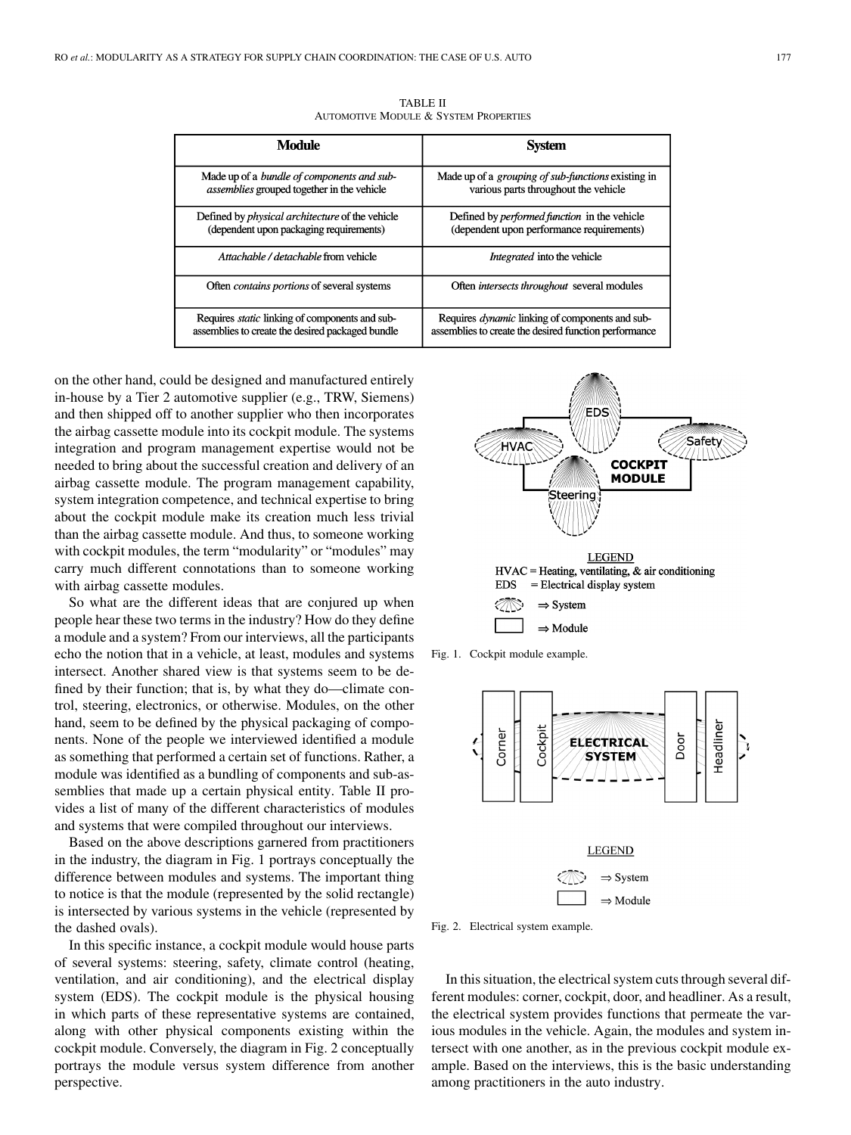| Module                                                 | <b>System</b>                                             |  |  |
|--------------------------------------------------------|-----------------------------------------------------------|--|--|
| Made up of a <i>bundle of components and sub-</i>      | Made up of a <i>grouping of sub-functions</i> existing in |  |  |
| <i>assemblies</i> grouped together in the vehicle      | various parts throughout the vehicle                      |  |  |
| Defined by <i>physical architecture</i> of the vehicle | Defined by <i>performed function</i> in the vehicle       |  |  |
| (dependent upon packaging requirements)                | (dependent upon performance requirements)                 |  |  |
| Attachable / detachable from vehicle                   | <i>Integrated</i> into the vehicle                        |  |  |
| Often <i>contains portions</i> of several systems      | Often <i>intersects throughout</i> several modules        |  |  |
| Requires <i>static</i> linking of components and sub-  | Requires <i>dynamic</i> linking of components and sub-    |  |  |
| assemblies to create the desired packaged bundle       | assemblies to create the desired function performance     |  |  |

TABLE II AUTOMOTIVE MODULE & SYSTEM PROPERTIES

on the other hand, could be designed and manufactured entirely in-house by a Tier 2 automotive supplier (e.g., TRW, Siemens) and then shipped off to another supplier who then incorporates the airbag cassette module into its cockpit module. The systems integration and program management expertise would not be needed to bring about the successful creation and delivery of an airbag cassette module. The program management capability, system integration competence, and technical expertise to bring about the cockpit module make its creation much less trivial than the airbag cassette module. And thus, to someone working with cockpit modules, the term "modularity" or "modules" may carry much different connotations than to someone working with airbag cassette modules.

So what are the different ideas that are conjured up when people hear these two terms in the industry? How do they define a module and a system? From our interviews, all the participants echo the notion that in a vehicle, at least, modules and systems intersect. Another shared view is that systems seem to be defined by their function; that is, by what they do—climate control, steering, electronics, or otherwise. Modules, on the other hand, seem to be defined by the physical packaging of components. None of the people we interviewed identified a module as something that performed a certain set of functions. Rather, a module was identified as a bundling of components and sub-assemblies that made up a certain physical entity. Table II provides a list of many of the different characteristics of modules and systems that were compiled throughout our interviews.

Based on the above descriptions garnered from practitioners in the industry, the diagram in Fig. 1 portrays conceptually the difference between modules and systems. The important thing to notice is that the module (represented by the solid rectangle) is intersected by various systems in the vehicle (represented by the dashed ovals).

In this specific instance, a cockpit module would house parts of several systems: steering, safety, climate control (heating, ventilation, and air conditioning), and the electrical display system (EDS). The cockpit module is the physical housing in which parts of these representative systems are contained, along with other physical components existing within the cockpit module. Conversely, the diagram in Fig. 2 conceptually portrays the module versus system difference from another perspective.



Fig. 1. Cockpit module example.



Fig. 2. Electrical system example.

In this situation, the electrical system cuts through several different modules: corner, cockpit, door, and headliner. As a result, the electrical system provides functions that permeate the various modules in the vehicle. Again, the modules and system intersect with one another, as in the previous cockpit module example. Based on the interviews, this is the basic understanding among practitioners in the auto industry.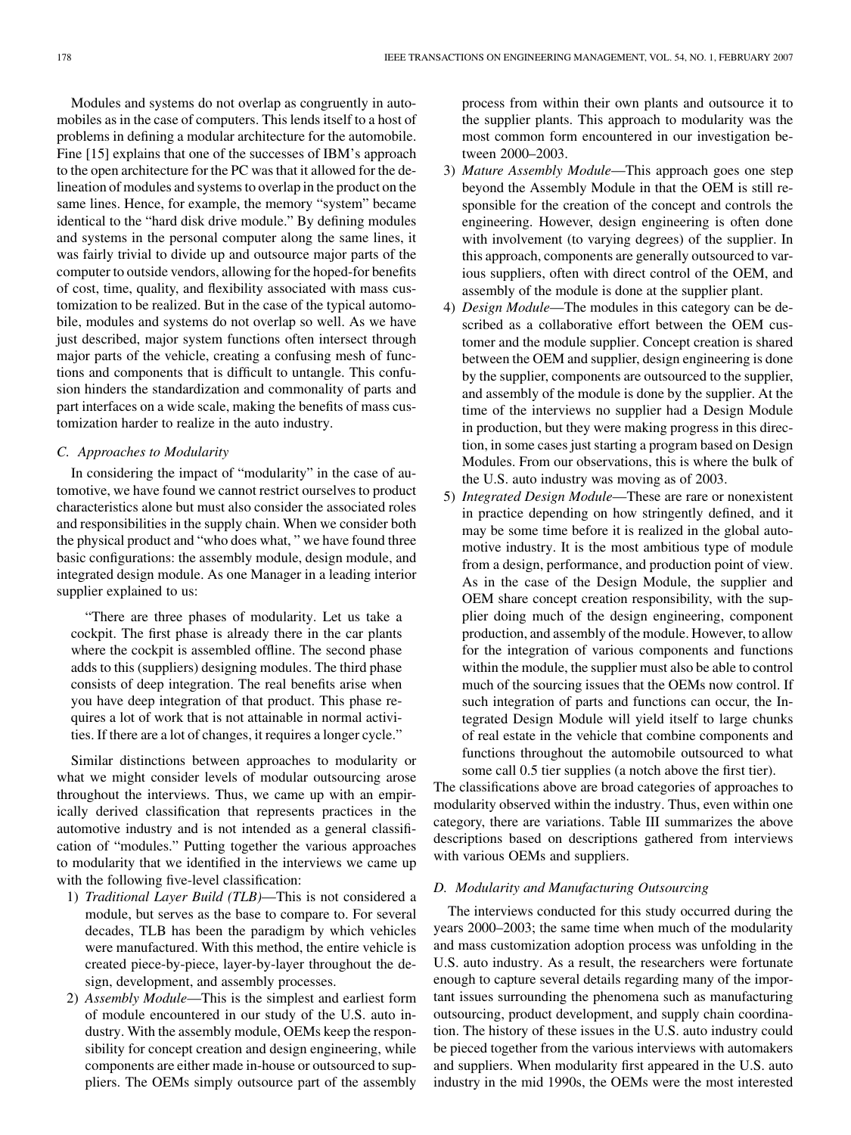Modules and systems do not overlap as congruently in automobiles as in the case of computers. This lends itself to a host of problems in defining a modular architecture for the automobile. Fine [\[15\]](#page-16-0) explains that one of the successes of IBM's approach to the open architecture for the PC was that it allowed for the delineation of modules and systems to overlap in the product on the same lines. Hence, for example, the memory "system" became identical to the "hard disk drive module." By defining modules and systems in the personal computer along the same lines, it was fairly trivial to divide up and outsource major parts of the computer to outside vendors, allowing for the hoped-for benefits of cost, time, quality, and flexibility associated with mass customization to be realized. But in the case of the typical automobile, modules and systems do not overlap so well. As we have just described, major system functions often intersect through major parts of the vehicle, creating a confusing mesh of functions and components that is difficult to untangle. This confusion hinders the standardization and commonality of parts and part interfaces on a wide scale, making the benefits of mass customization harder to realize in the auto industry.

## *C. Approaches to Modularity*

In considering the impact of "modularity" in the case of automotive, we have found we cannot restrict ourselves to product characteristics alone but must also consider the associated roles and responsibilities in the supply chain. When we consider both the physical product and "who does what, " we have found three basic configurations: the assembly module, design module, and integrated design module. As one Manager in a leading interior supplier explained to us:

"There are three phases of modularity. Let us take a cockpit. The first phase is already there in the car plants where the cockpit is assembled offline. The second phase adds to this (suppliers) designing modules. The third phase consists of deep integration. The real benefits arise when you have deep integration of that product. This phase requires a lot of work that is not attainable in normal activities. If there are a lot of changes, it requires a longer cycle."

Similar distinctions between approaches to modularity or what we might consider levels of modular outsourcing arose throughout the interviews. Thus, we came up with an empirically derived classification that represents practices in the automotive industry and is not intended as a general classification of "modules." Putting together the various approaches to modularity that we identified in the interviews we came up with the following five-level classification:

- 1) *Traditional Layer Build (TLB)*—This is not considered a module, but serves as the base to compare to. For several decades, TLB has been the paradigm by which vehicles were manufactured. With this method, the entire vehicle is created piece-by-piece, layer-by-layer throughout the design, development, and assembly processes.
- 2) *Assembly Module*—This is the simplest and earliest form of module encountered in our study of the U.S. auto industry. With the assembly module, OEMs keep the responsibility for concept creation and design engineering, while components are either made in-house or outsourced to suppliers. The OEMs simply outsource part of the assembly

process from within their own plants and outsource it to the supplier plants. This approach to modularity was the most common form encountered in our investigation between 2000–2003.

- 3) *Mature Assembly Module*—This approach goes one step beyond the Assembly Module in that the OEM is still responsible for the creation of the concept and controls the engineering. However, design engineering is often done with involvement (to varying degrees) of the supplier. In this approach, components are generally outsourced to various suppliers, often with direct control of the OEM, and assembly of the module is done at the supplier plant.
- 4) *Design Module*—The modules in this category can be described as a collaborative effort between the OEM customer and the module supplier. Concept creation is shared between the OEM and supplier, design engineering is done by the supplier, components are outsourced to the supplier, and assembly of the module is done by the supplier. At the time of the interviews no supplier had a Design Module in production, but they were making progress in this direction, in some cases just starting a program based on Design Modules. From our observations, this is where the bulk of the U.S. auto industry was moving as of 2003.
- 5) *Integrated Design Module*—These are rare or nonexistent in practice depending on how stringently defined, and it may be some time before it is realized in the global automotive industry. It is the most ambitious type of module from a design, performance, and production point of view. As in the case of the Design Module, the supplier and OEM share concept creation responsibility, with the supplier doing much of the design engineering, component production, and assembly of the module. However, to allow for the integration of various components and functions within the module, the supplier must also be able to control much of the sourcing issues that the OEMs now control. If such integration of parts and functions can occur, the Integrated Design Module will yield itself to large chunks of real estate in the vehicle that combine components and functions throughout the automobile outsourced to what some call 0.5 tier supplies (a notch above the first tier).

The classifications above are broad categories of approaches to modularity observed within the industry. Thus, even within one category, there are variations. [Table III](#page-7-0) summarizes the above descriptions based on descriptions gathered from interviews with various OEMs and suppliers.

#### *D. Modularity and Manufacturing Outsourcing*

The interviews conducted for this study occurred during the years 2000–2003; the same time when much of the modularity and mass customization adoption process was unfolding in the U.S. auto industry. As a result, the researchers were fortunate enough to capture several details regarding many of the important issues surrounding the phenomena such as manufacturing outsourcing, product development, and supply chain coordination. The history of these issues in the U.S. auto industry could be pieced together from the various interviews with automakers and suppliers. When modularity first appeared in the U.S. auto industry in the mid 1990s, the OEMs were the most interested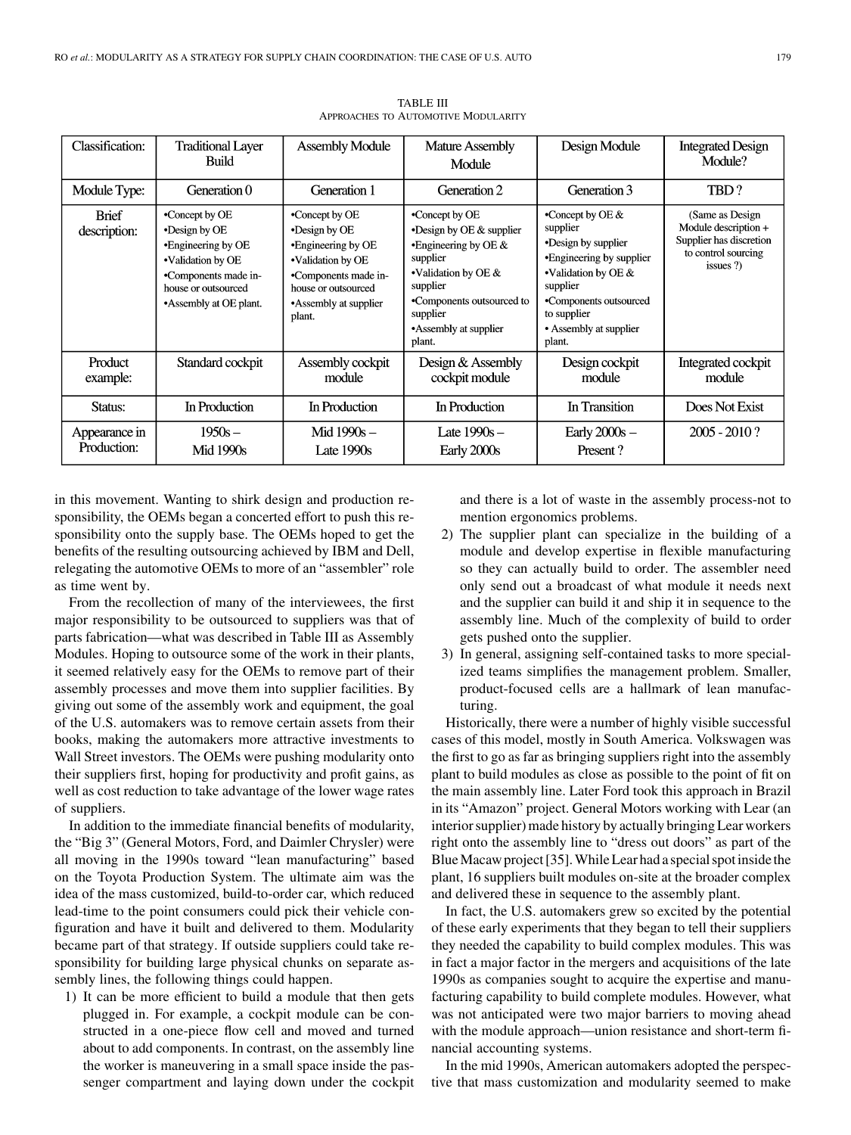<span id="page-7-0"></span>

| Classification:              | Traditional Layer<br><b>Build</b>                                                                                                                             | <b>Assembly Module</b>                                                                                                                                        | <b>Mature Assembly</b><br>Module                                                                                                                                                                    | Design Module                                                                                                                                                                                       | <b>Integrated Design</b><br>Module?                                                                      |
|------------------------------|---------------------------------------------------------------------------------------------------------------------------------------------------------------|---------------------------------------------------------------------------------------------------------------------------------------------------------------|-----------------------------------------------------------------------------------------------------------------------------------------------------------------------------------------------------|-----------------------------------------------------------------------------------------------------------------------------------------------------------------------------------------------------|----------------------------------------------------------------------------------------------------------|
| Module Type:                 | Generation 0                                                                                                                                                  | Generation 1                                                                                                                                                  | Generation 2                                                                                                                                                                                        | Generation 3                                                                                                                                                                                        | TBD?                                                                                                     |
| <b>Brief</b><br>description: | •Concept by OE<br>$\bullet$ Design by OE<br>•Engineering by OE<br>•Validation by OE<br>•Components made in-<br>house or outsourced<br>• Assembly at OE plant. | •Concept by OE<br>•Design by OE<br>•Engineering by OE<br>•Validation by OE<br>•Components made in-<br>house or outsourced<br>• Assembly at supplier<br>plant. | •Concept by OE<br>•Design by $OE &$ supplier<br>•Engineering by OE $\&$<br>supplier<br>•Validation by OE &<br>supplier<br>•Components outsourced to<br>supplier<br>• Assembly at supplier<br>plant. | •Concept by OE $&$<br>supplier<br>•Design by supplier<br>•Engineering by supplier<br>•Validation by OE $&$<br>supplier<br>•Components outsourced<br>to supplier<br>• Assembly at supplier<br>plant. | (Same as Design)<br>Module description +<br>Supplier has discretion<br>to control sourcing<br>issues $?$ |
| Product<br>example:          | Standard cockpit                                                                                                                                              | Assembly cockpit<br>module                                                                                                                                    | Design & Assembly<br>cockpit module                                                                                                                                                                 | Design cockpit<br>module                                                                                                                                                                            | Integrated cockpit<br>module                                                                             |
| Status:                      | In Production                                                                                                                                                 | In Production                                                                                                                                                 | In Production                                                                                                                                                                                       | In Transition                                                                                                                                                                                       | Does Not Exist                                                                                           |
| Appearance in<br>Production: | $1950s -$<br>Mid 1990s                                                                                                                                        | Mid 1990s –<br>Late $1990s$                                                                                                                                   | Late $1990s -$<br>Early 2000s                                                                                                                                                                       | Early 2000s -<br>Present?                                                                                                                                                                           | $2005 - 2010$ ?                                                                                          |

TABLE III APPROACHES TO AUTOMOTIVE MODULARITY

in this movement. Wanting to shirk design and production responsibility, the OEMs began a concerted effort to push this responsibility onto the supply base. The OEMs hoped to get the benefits of the resulting outsourcing achieved by IBM and Dell, relegating the automotive OEMs to more of an "assembler" role as time went by.

From the recollection of many of the interviewees, the first major responsibility to be outsourced to suppliers was that of parts fabrication—what was described in Table III as Assembly Modules. Hoping to outsource some of the work in their plants, it seemed relatively easy for the OEMs to remove part of their assembly processes and move them into supplier facilities. By giving out some of the assembly work and equipment, the goal of the U.S. automakers was to remove certain assets from their books, making the automakers more attractive investments to Wall Street investors. The OEMs were pushing modularity onto their suppliers first, hoping for productivity and profit gains, as well as cost reduction to take advantage of the lower wage rates of suppliers.

In addition to the immediate financial benefits of modularity, the "Big 3" (General Motors, Ford, and Daimler Chrysler) were all moving in the 1990s toward "lean manufacturing" based on the Toyota Production System. The ultimate aim was the idea of the mass customized, build-to-order car, which reduced lead-time to the point consumers could pick their vehicle configuration and have it built and delivered to them. Modularity became part of that strategy. If outside suppliers could take responsibility for building large physical chunks on separate assembly lines, the following things could happen.

1) It can be more efficient to build a module that then gets plugged in. For example, a cockpit module can be constructed in a one-piece flow cell and moved and turned about to add components. In contrast, on the assembly line the worker is maneuvering in a small space inside the passenger compartment and laying down under the cockpit and there is a lot of waste in the assembly process-not to mention ergonomics problems.

- 2) The supplier plant can specialize in the building of a module and develop expertise in flexible manufacturing so they can actually build to order. The assembler need only send out a broadcast of what module it needs next and the supplier can build it and ship it in sequence to the assembly line. Much of the complexity of build to order gets pushed onto the supplier.
- 3) In general, assigning self-contained tasks to more specialized teams simplifies the management problem. Smaller, product-focused cells are a hallmark of lean manufacturing.

Historically, there were a number of highly visible successful cases of this model, mostly in South America. Volkswagen was the first to go as far as bringing suppliers right into the assembly plant to build modules as close as possible to the point of fit on the main assembly line. Later Ford took this approach in Brazil in its "Amazon" project. General Motors working with Lear (an interior supplier) made history by actually bringing Lear workers right onto the assembly line to "dress out doors" as part of the Blue Macaw project [\[35\]](#page-17-0). While Lear had a special spot inside the plant, 16 suppliers built modules on-site at the broader complex and delivered these in sequence to the assembly plant.

In fact, the U.S. automakers grew so excited by the potential of these early experiments that they began to tell their suppliers they needed the capability to build complex modules. This was in fact a major factor in the mergers and acquisitions of the late 1990s as companies sought to acquire the expertise and manufacturing capability to build complete modules. However, what was not anticipated were two major barriers to moving ahead with the module approach—union resistance and short-term financial accounting systems.

In the mid 1990s, American automakers adopted the perspective that mass customization and modularity seemed to make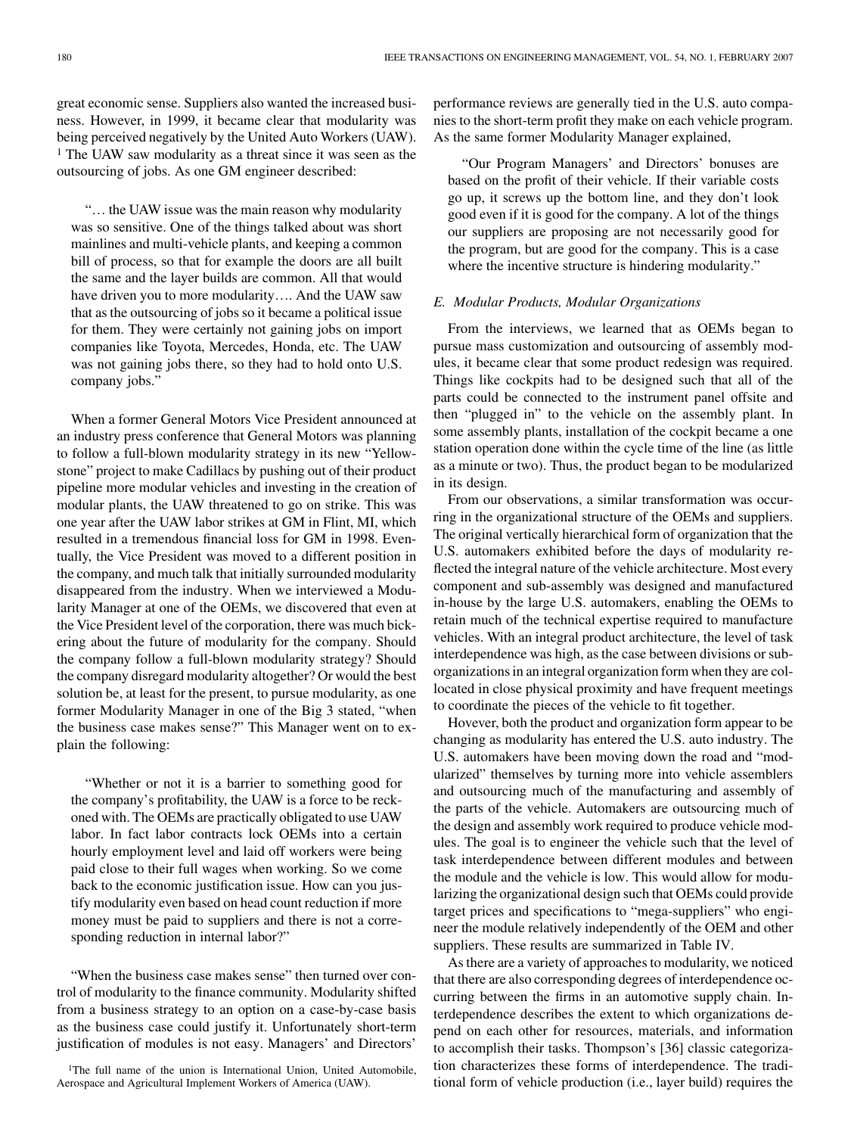great economic sense. Suppliers also wanted the increased business. However, in 1999, it became clear that modularity was being perceived negatively by the United Auto Workers (UAW). <sup>1</sup> The UAW saw modularity as a threat since it was seen as the outsourcing of jobs. As one GM engineer described:

"… the UAW issue was the main reason why modularity was so sensitive. One of the things talked about was short mainlines and multi-vehicle plants, and keeping a common bill of process, so that for example the doors are all built the same and the layer builds are common. All that would have driven you to more modularity…. And the UAW saw that as the outsourcing of jobs so it became a political issue for them. They were certainly not gaining jobs on import companies like Toyota, Mercedes, Honda, etc. The UAW was not gaining jobs there, so they had to hold onto U.S. company jobs."

When a former General Motors Vice President announced at an industry press conference that General Motors was planning to follow a full-blown modularity strategy in its new "Yellowstone" project to make Cadillacs by pushing out of their product pipeline more modular vehicles and investing in the creation of modular plants, the UAW threatened to go on strike. This was one year after the UAW labor strikes at GM in Flint, MI, which resulted in a tremendous financial loss for GM in 1998. Eventually, the Vice President was moved to a different position in the company, and much talk that initially surrounded modularity disappeared from the industry. When we interviewed a Modularity Manager at one of the OEMs, we discovered that even at the Vice President level of the corporation, there was much bickering about the future of modularity for the company. Should the company follow a full-blown modularity strategy? Should the company disregard modularity altogether? Or would the best solution be, at least for the present, to pursue modularity, as one former Modularity Manager in one of the Big 3 stated, "when the business case makes sense?" This Manager went on to explain the following:

"Whether or not it is a barrier to something good for the company's profitability, the UAW is a force to be reckoned with. The OEMs are practically obligated to use UAW labor. In fact labor contracts lock OEMs into a certain hourly employment level and laid off workers were being paid close to their full wages when working. So we come back to the economic justification issue. How can you justify modularity even based on head count reduction if more money must be paid to suppliers and there is not a corresponding reduction in internal labor?"

"When the business case makes sense" then turned over control of modularity to the finance community. Modularity shifted from a business strategy to an option on a case-by-case basis as the business case could justify it. Unfortunately short-term justification of modules is not easy. Managers' and Directors'

performance reviews are generally tied in the U.S. auto companies to the short-term profit they make on each vehicle program. As the same former Modularity Manager explained,

"Our Program Managers' and Directors' bonuses are based on the profit of their vehicle. If their variable costs go up, it screws up the bottom line, and they don't look good even if it is good for the company. A lot of the things our suppliers are proposing are not necessarily good for the program, but are good for the company. This is a case where the incentive structure is hindering modularity."

#### *E. Modular Products, Modular Organizations*

From the interviews, we learned that as OEMs began to pursue mass customization and outsourcing of assembly modules, it became clear that some product redesign was required. Things like cockpits had to be designed such that all of the parts could be connected to the instrument panel offsite and then "plugged in" to the vehicle on the assembly plant. In some assembly plants, installation of the cockpit became a one station operation done within the cycle time of the line (as little as a minute or two). Thus, the product began to be modularized in its design.

From our observations, a similar transformation was occurring in the organizational structure of the OEMs and suppliers. The original vertically hierarchical form of organization that the U.S. automakers exhibited before the days of modularity reflected the integral nature of the vehicle architecture. Most every component and sub-assembly was designed and manufactured in-house by the large U.S. automakers, enabling the OEMs to retain much of the technical expertise required to manufacture vehicles. With an integral product architecture, the level of task interdependence was high, as the case between divisions or suborganizations in an integral organization form when they are collocated in close physical proximity and have frequent meetings to coordinate the pieces of the vehicle to fit together.

Hovever, both the product and organization form appear to be changing as modularity has entered the U.S. auto industry. The U.S. automakers have been moving down the road and "modularized" themselves by turning more into vehicle assemblers and outsourcing much of the manufacturing and assembly of the parts of the vehicle. Automakers are outsourcing much of the design and assembly work required to produce vehicle modules. The goal is to engineer the vehicle such that the level of task interdependence between different modules and between the module and the vehicle is low. This would allow for modularizing the organizational design such that OEMs could provide target prices and specifications to "mega-suppliers" who engineer the module relatively independently of the OEM and other suppliers. These results are summarized in [Table IV](#page-9-0).

As there are a variety of approaches to modularity, we noticed that there are also corresponding degrees of interdependence occurring between the firms in an automotive supply chain. Interdependence describes the extent to which organizations depend on each other for resources, materials, and information to accomplish their tasks. Thompson's [\[36\]](#page-17-0) classic categorization characterizes these forms of interdependence. The traditional form of vehicle production (i.e., layer build) requires the

<sup>&</sup>lt;sup>1</sup>The full name of the union is International Union, United Automobile, Aerospace and Agricultural Implement Workers of America (UAW).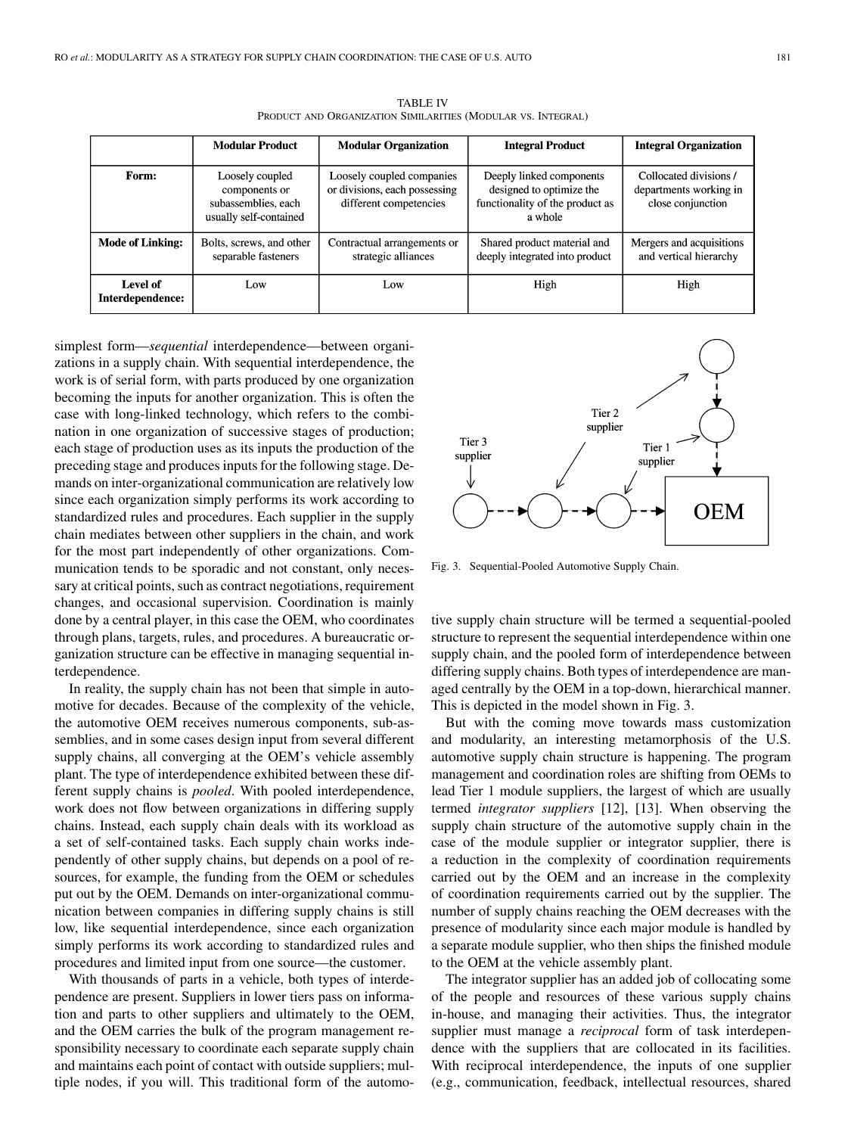<span id="page-9-0"></span>

|                              | <b>Modular Product</b>                                                            | <b>Modular Organization</b>                                                          | <b>Integral Product</b>                                                                            | <b>Integral Organization</b>                                          |
|------------------------------|-----------------------------------------------------------------------------------|--------------------------------------------------------------------------------------|----------------------------------------------------------------------------------------------------|-----------------------------------------------------------------------|
| Form:                        | Loosely coupled<br>components or<br>subassemblies, each<br>usually self-contained | Loosely coupled companies<br>or divisions, each possessing<br>different competencies | Deeply linked components<br>designed to optimize the<br>functionality of the product as<br>a whole | Collocated divisions /<br>departments working in<br>close conjunction |
| <b>Mode of Linking:</b>      | Bolts, screws, and other<br>separable fasteners                                   | Contractual arrangements or<br>strategic alliances                                   | Shared product material and<br>deeply integrated into product                                      | Mergers and acquisitions<br>and vertical hierarchy                    |
| Level of<br>Interdependence: | Low                                                                               | Low                                                                                  | High                                                                                               | High                                                                  |

TABLE IV PRODUCT AND ORGANIZATION SIMILARITIES (MODULAR VS. INTEGRAL)

simplest form—*sequential* interdependence—between organizations in a supply chain. With sequential interdependence, the work is of serial form, with parts produced by one organization becoming the inputs for another organization. This is often the case with long-linked technology, which refers to the combination in one organization of successive stages of production; each stage of production uses as its inputs the production of the preceding stage and produces inputs for the following stage. Demands on inter-organizational communication are relatively low since each organization simply performs its work according to standardized rules and procedures. Each supplier in the supply chain mediates between other suppliers in the chain, and work for the most part independently of other organizations. Communication tends to be sporadic and not constant, only necessary at critical points, such as contract negotiations, requirement changes, and occasional supervision. Coordination is mainly done by a central player, in this case the OEM, who coordinates through plans, targets, rules, and procedures. A bureaucratic organization structure can be effective in managing sequential interdependence.

In reality, the supply chain has not been that simple in automotive for decades. Because of the complexity of the vehicle, the automotive OEM receives numerous components, sub-assemblies, and in some cases design input from several different supply chains, all converging at the OEM's vehicle assembly plant. The type of interdependence exhibited between these different supply chains is *pooled*. With pooled interdependence, work does not flow between organizations in differing supply chains. Instead, each supply chain deals with its workload as a set of self-contained tasks. Each supply chain works independently of other supply chains, but depends on a pool of resources, for example, the funding from the OEM or schedules put out by the OEM. Demands on inter-organizational communication between companies in differing supply chains is still low, like sequential interdependence, since each organization simply performs its work according to standardized rules and procedures and limited input from one source—the customer.

With thousands of parts in a vehicle, both types of interdependence are present. Suppliers in lower tiers pass on information and parts to other suppliers and ultimately to the OEM, and the OEM carries the bulk of the program management responsibility necessary to coordinate each separate supply chain and maintains each point of contact with outside suppliers; multiple nodes, if you will. This traditional form of the automo-



Fig. 3. Sequential-Pooled Automotive Supply Chain.

tive supply chain structure will be termed a sequential-pooled structure to represent the sequential interdependence within one supply chain, and the pooled form of interdependence between differing supply chains. Both types of interdependence are managed centrally by the OEM in a top-down, hierarchical manner. This is depicted in the model shown in Fig. 3.

But with the coming move towards mass customization and modularity, an interesting metamorphosis of the U.S. automotive supply chain structure is happening. The program management and coordination roles are shifting from OEMs to lead Tier 1 module suppliers, the largest of which are usually termed *integrator suppliers* [\[12\]](#page-16-0), [\[13\].](#page-16-0) When observing the supply chain structure of the automotive supply chain in the case of the module supplier or integrator supplier, there is a reduction in the complexity of coordination requirements carried out by the OEM and an increase in the complexity of coordination requirements carried out by the supplier. The number of supply chains reaching the OEM decreases with the presence of modularity since each major module is handled by a separate module supplier, who then ships the finished module to the OEM at the vehicle assembly plant.

The integrator supplier has an added job of collocating some of the people and resources of these various supply chains in-house, and managing their activities. Thus, the integrator supplier must manage a *reciprocal* form of task interdependence with the suppliers that are collocated in its facilities. With reciprocal interdependence, the inputs of one supplier (e.g., communication, feedback, intellectual resources, shared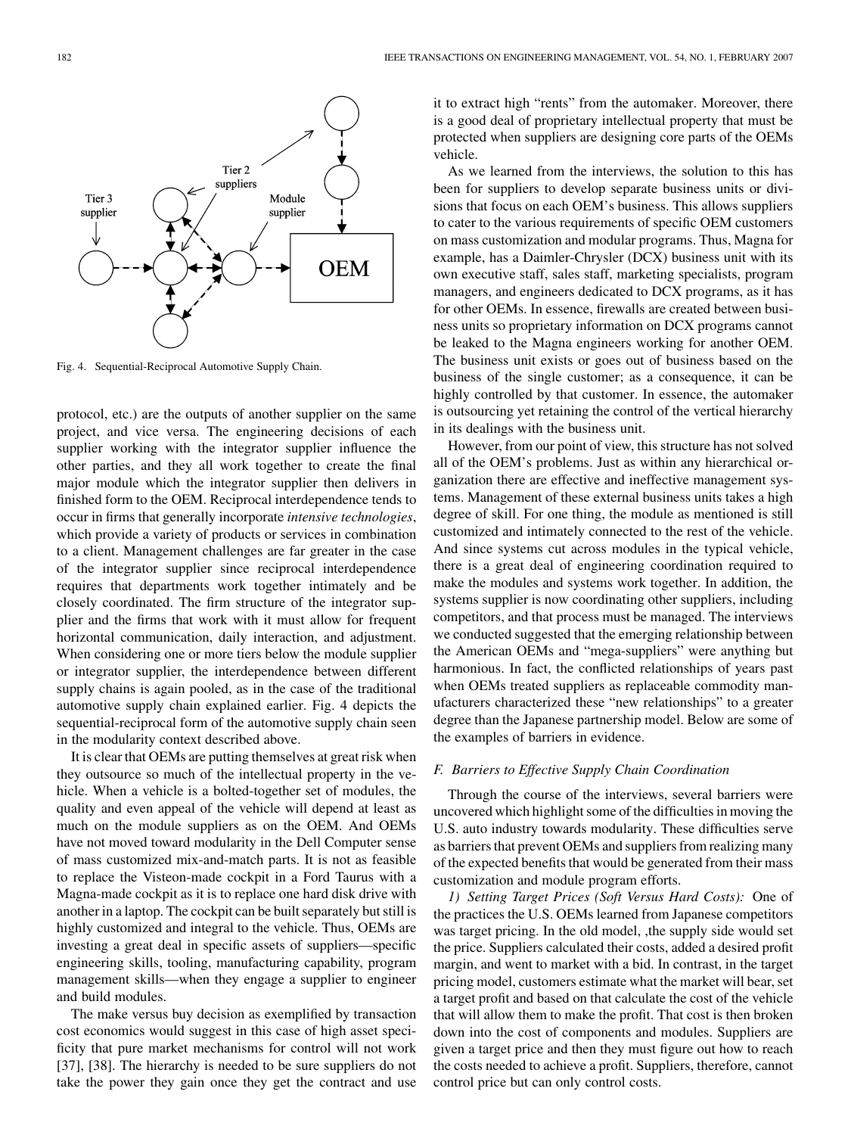

Fig. 4. Sequential-Reciprocal Automotive Supply Chain.

protocol, etc.) are the outputs of another supplier on the same project, and vice versa. The engineering decisions of each supplier working with the integrator supplier influence the other parties, and they all work together to create the final major module which the integrator supplier then delivers in finished form to the OEM. Reciprocal interdependence tends to occur in firms that generally incorporate *intensive technologies*, which provide a variety of products or services in combination to a client. Management challenges are far greater in the case of the integrator supplier since reciprocal interdependence requires that departments work together intimately and be closely coordinated. The firm structure of the integrator supplier and the firms that work with it must allow for frequent horizontal communication, daily interaction, and adjustment. When considering one or more tiers below the module supplier or integrator supplier, the interdependence between different supply chains is again pooled, as in the case of the traditional automotive supply chain explained earlier. Fig. 4 depicts the sequential-reciprocal form of the automotive supply chain seen in the modularity context described above.

It is clear that OEMs are putting themselves at great risk when they outsource so much of the intellectual property in the vehicle. When a vehicle is a bolted-together set of modules, the quality and even appeal of the vehicle will depend at least as much on the module suppliers as on the OEM. And OEMs have not moved toward modularity in the Dell Computer sense of mass customized mix-and-match parts. It is not as feasible to replace the Visteon-made cockpit in a Ford Taurus with a Magna-made cockpit as it is to replace one hard disk drive with another in a laptop. The cockpit can be built separately but still is highly customized and integral to the vehicle. Thus, OEMs are investing a great deal in specific assets of suppliers—specific engineering skills, tooling, manufacturing capability, program management skills—when they engage a supplier to engineer and build modules.

The make versus buy decision as exemplified by transaction cost economics would suggest in this case of high asset specificity that pure market mechanisms for control will not work [\[37\]](#page-17-0), [\[38\]](#page-17-0). The hierarchy is needed to be sure suppliers do not take the power they gain once they get the contract and use

it to extract high "rents" from the automaker. Moreover, there is a good deal of proprietary intellectual property that must be protected when suppliers are designing core parts of the OEMs vehicle.

As we learned from the interviews, the solution to this has been for suppliers to develop separate business units or divisions that focus on each OEM's business. This allows suppliers to cater to the various requirements of specific OEM customers on mass customization and modular programs. Thus, Magna for example, has a Daimler-Chrysler (DCX) business unit with its own executive staff, sales staff, marketing specialists, program managers, and engineers dedicated to DCX programs, as it has for other OEMs. In essence, firewalls are created between business units so proprietary information on DCX programs cannot be leaked to the Magna engineers working for another OEM. The business unit exists or goes out of business based on the business of the single customer; as a consequence, it can be highly controlled by that customer. In essence, the automaker is outsourcing yet retaining the control of the vertical hierarchy in its dealings with the business unit.

However, from our point of view, this structure has not solved all of the OEM's problems. Just as within any hierarchical organization there are effective and ineffective management systems. Management of these external business units takes a high degree of skill. For one thing, the module as mentioned is still customized and intimately connected to the rest of the vehicle. And since systems cut across modules in the typical vehicle, there is a great deal of engineering coordination required to make the modules and systems work together. In addition, the systems supplier is now coordinating other suppliers, including competitors, and that process must be managed. The interviews we conducted suggested that the emerging relationship between the American OEMs and "mega-suppliers" were anything but harmonious. In fact, the conflicted relationships of years past when OEMs treated suppliers as replaceable commodity manufacturers characterized these "new relationships" to a greater degree than the Japanese partnership model. Below are some of the examples of barriers in evidence.

# *F. Barriers to Effective Supply Chain Coordination*

Through the course of the interviews, several barriers were uncovered which highlight some of the difficulties in moving the U.S. auto industry towards modularity. These difficulties serve as barriers that prevent OEMs and suppliers from realizing many of the expected benefits that would be generated from their mass customization and module program efforts.

*1) Setting Target Prices (Soft Versus Hard Costs):* One of the practices the U.S. OEMs learned from Japanese competitors was target pricing. In the old model, ,the supply side would set the price. Suppliers calculated their costs, added a desired profit margin, and went to market with a bid. In contrast, in the target pricing model, customers estimate what the market will bear, set a target profit and based on that calculate the cost of the vehicle that will allow them to make the profit. That cost is then broken down into the cost of components and modules. Suppliers are given a target price and then they must figure out how to reach the costs needed to achieve a profit. Suppliers, therefore, cannot control price but can only control costs.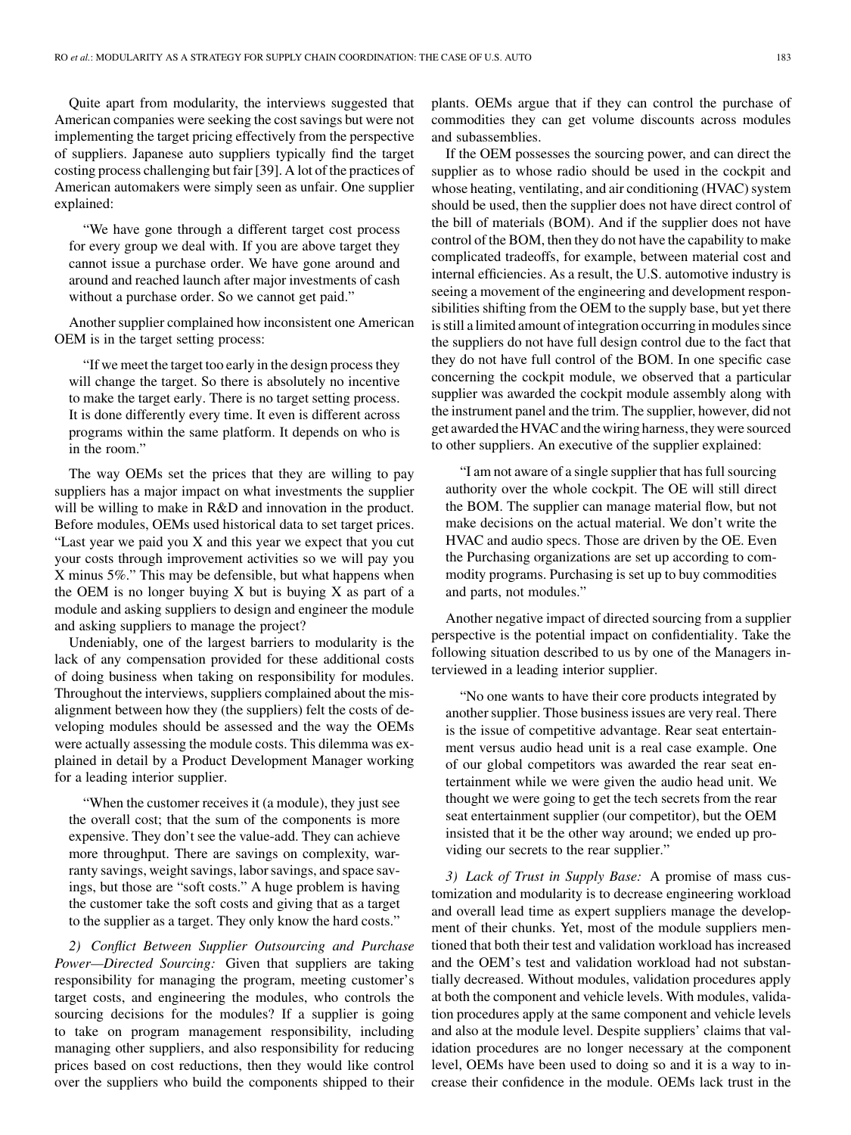Quite apart from modularity, the interviews suggested that American companies were seeking the cost savings but were not implementing the target pricing effectively from the perspective of suppliers. Japanese auto suppliers typically find the target costing process challenging but fair [\[39\].](#page-17-0) A lot of the practices of American automakers were simply seen as unfair. One supplier explained:

"We have gone through a different target cost process for every group we deal with. If you are above target they cannot issue a purchase order. We have gone around and around and reached launch after major investments of cash without a purchase order. So we cannot get paid."

Another supplier complained how inconsistent one American OEM is in the target setting process:

"If we meet the target too early in the design process they will change the target. So there is absolutely no incentive to make the target early. There is no target setting process. It is done differently every time. It even is different across programs within the same platform. It depends on who is in the room."

The way OEMs set the prices that they are willing to pay suppliers has a major impact on what investments the supplier will be willing to make in R&D and innovation in the product. Before modules, OEMs used historical data to set target prices. "Last year we paid you X and this year we expect that you cut your costs through improvement activities so we will pay you X minus 5%." This may be defensible, but what happens when the OEM is no longer buying  $X$  but is buying  $X$  as part of a module and asking suppliers to design and engineer the module and asking suppliers to manage the project?

Undeniably, one of the largest barriers to modularity is the lack of any compensation provided for these additional costs of doing business when taking on responsibility for modules. Throughout the interviews, suppliers complained about the misalignment between how they (the suppliers) felt the costs of developing modules should be assessed and the way the OEMs were actually assessing the module costs. This dilemma was explained in detail by a Product Development Manager working for a leading interior supplier.

"When the customer receives it (a module), they just see the overall cost; that the sum of the components is more expensive. They don't see the value-add. They can achieve more throughput. There are savings on complexity, warranty savings, weight savings, labor savings, and space savings, but those are "soft costs." A huge problem is having the customer take the soft costs and giving that as a target to the supplier as a target. They only know the hard costs."

*2) Conflict Between Supplier Outsourcing and Purchase Power—Directed Sourcing:* Given that suppliers are taking responsibility for managing the program, meeting customer's target costs, and engineering the modules, who controls the sourcing decisions for the modules? If a supplier is going to take on program management responsibility, including managing other suppliers, and also responsibility for reducing prices based on cost reductions, then they would like control over the suppliers who build the components shipped to their

plants. OEMs argue that if they can control the purchase of commodities they can get volume discounts across modules and subassemblies.

If the OEM possesses the sourcing power, and can direct the supplier as to whose radio should be used in the cockpit and whose heating, ventilating, and air conditioning (HVAC) system should be used, then the supplier does not have direct control of the bill of materials (BOM). And if the supplier does not have control of the BOM, then they do not have the capability to make complicated tradeoffs, for example, between material cost and internal efficiencies. As a result, the U.S. automotive industry is seeing a movement of the engineering and development responsibilities shifting from the OEM to the supply base, but yet there is still a limited amount of integration occurring in modules since the suppliers do not have full design control due to the fact that they do not have full control of the BOM. In one specific case concerning the cockpit module, we observed that a particular supplier was awarded the cockpit module assembly along with the instrument panel and the trim. The supplier, however, did not get awarded the HVAC and the wiring harness, they were sourced to other suppliers. An executive of the supplier explained:

"I am not aware of a single supplier that has full sourcing authority over the whole cockpit. The OE will still direct the BOM. The supplier can manage material flow, but not make decisions on the actual material. We don't write the HVAC and audio specs. Those are driven by the OE. Even the Purchasing organizations are set up according to commodity programs. Purchasing is set up to buy commodities and parts, not modules."

Another negative impact of directed sourcing from a supplier perspective is the potential impact on confidentiality. Take the following situation described to us by one of the Managers interviewed in a leading interior supplier.

"No one wants to have their core products integrated by another supplier. Those business issues are very real. There is the issue of competitive advantage. Rear seat entertainment versus audio head unit is a real case example. One of our global competitors was awarded the rear seat entertainment while we were given the audio head unit. We thought we were going to get the tech secrets from the rear seat entertainment supplier (our competitor), but the OEM insisted that it be the other way around; we ended up providing our secrets to the rear supplier."

*3) Lack of Trust in Supply Base:* A promise of mass customization and modularity is to decrease engineering workload and overall lead time as expert suppliers manage the development of their chunks. Yet, most of the module suppliers mentioned that both their test and validation workload has increased and the OEM's test and validation workload had not substantially decreased. Without modules, validation procedures apply at both the component and vehicle levels. With modules, validation procedures apply at the same component and vehicle levels and also at the module level. Despite suppliers' claims that validation procedures are no longer necessary at the component level, OEMs have been used to doing so and it is a way to increase their confidence in the module. OEMs lack trust in the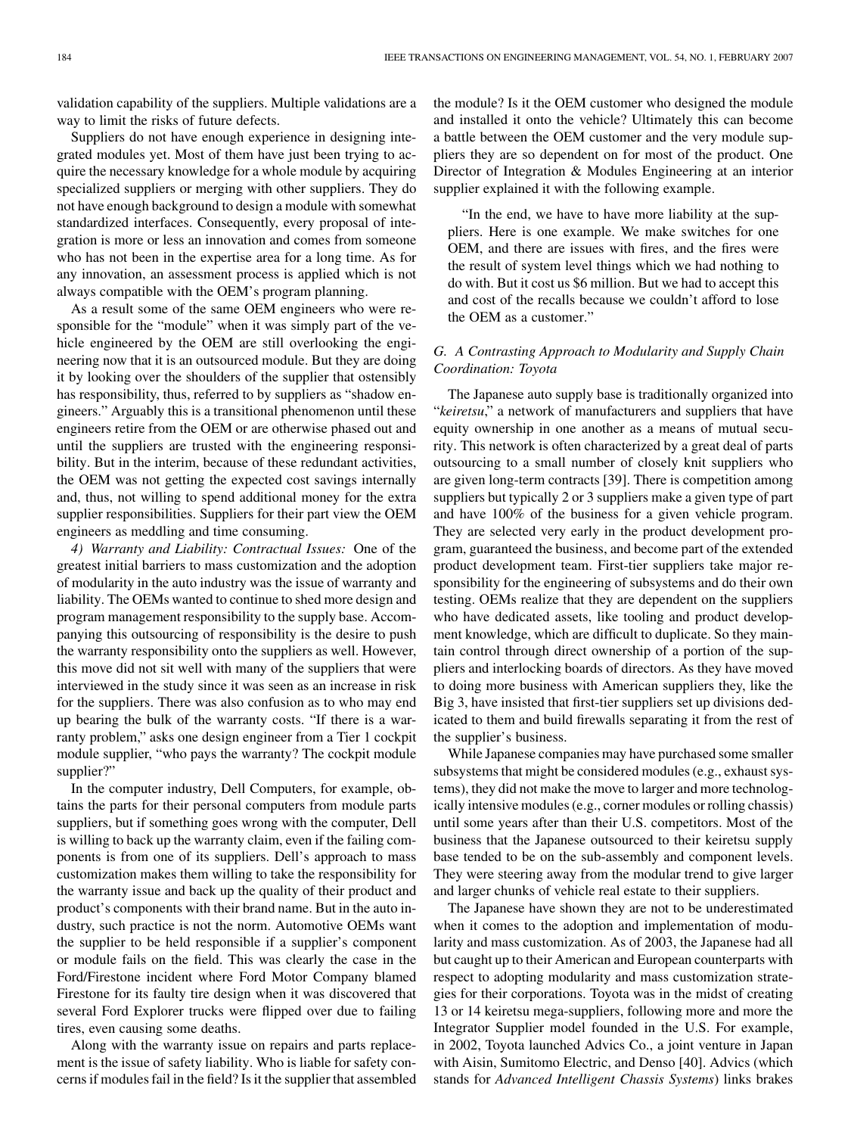validation capability of the suppliers. Multiple validations are a way to limit the risks of future defects.

Suppliers do not have enough experience in designing integrated modules yet. Most of them have just been trying to acquire the necessary knowledge for a whole module by acquiring specialized suppliers or merging with other suppliers. They do not have enough background to design a module with somewhat standardized interfaces. Consequently, every proposal of integration is more or less an innovation and comes from someone who has not been in the expertise area for a long time. As for any innovation, an assessment process is applied which is not always compatible with the OEM's program planning.

As a result some of the same OEM engineers who were responsible for the "module" when it was simply part of the vehicle engineered by the OEM are still overlooking the engineering now that it is an outsourced module. But they are doing it by looking over the shoulders of the supplier that ostensibly has responsibility, thus, referred to by suppliers as "shadow engineers." Arguably this is a transitional phenomenon until these engineers retire from the OEM or are otherwise phased out and until the suppliers are trusted with the engineering responsibility. But in the interim, because of these redundant activities, the OEM was not getting the expected cost savings internally and, thus, not willing to spend additional money for the extra supplier responsibilities. Suppliers for their part view the OEM engineers as meddling and time consuming.

*4) Warranty and Liability: Contractual Issues:* One of the greatest initial barriers to mass customization and the adoption of modularity in the auto industry was the issue of warranty and liability. The OEMs wanted to continue to shed more design and program management responsibility to the supply base. Accompanying this outsourcing of responsibility is the desire to push the warranty responsibility onto the suppliers as well. However, this move did not sit well with many of the suppliers that were interviewed in the study since it was seen as an increase in risk for the suppliers. There was also confusion as to who may end up bearing the bulk of the warranty costs. "If there is a warranty problem," asks one design engineer from a Tier 1 cockpit module supplier, "who pays the warranty? The cockpit module supplier?"

In the computer industry, Dell Computers, for example, obtains the parts for their personal computers from module parts suppliers, but if something goes wrong with the computer, Dell is willing to back up the warranty claim, even if the failing components is from one of its suppliers. Dell's approach to mass customization makes them willing to take the responsibility for the warranty issue and back up the quality of their product and product's components with their brand name. But in the auto industry, such practice is not the norm. Automotive OEMs want the supplier to be held responsible if a supplier's component or module fails on the field. This was clearly the case in the Ford/Firestone incident where Ford Motor Company blamed Firestone for its faulty tire design when it was discovered that several Ford Explorer trucks were flipped over due to failing tires, even causing some deaths.

Along with the warranty issue on repairs and parts replacement is the issue of safety liability. Who is liable for safety concerns if modules fail in the field? Is it the supplier that assembled the module? Is it the OEM customer who designed the module and installed it onto the vehicle? Ultimately this can become a battle between the OEM customer and the very module suppliers they are so dependent on for most of the product. One Director of Integration & Modules Engineering at an interior supplier explained it with the following example.

"In the end, we have to have more liability at the suppliers. Here is one example. We make switches for one OEM, and there are issues with fires, and the fires were the result of system level things which we had nothing to do with. But it cost us \$6 million. But we had to accept this and cost of the recalls because we couldn't afford to lose the OEM as a customer."

# *G. A Contrasting Approach to Modularity and Supply Chain Coordination: Toyota*

The Japanese auto supply base is traditionally organized into "*keiretsu*," a network of manufacturers and suppliers that have equity ownership in one another as a means of mutual security. This network is often characterized by a great deal of parts outsourcing to a small number of closely knit suppliers who are given long-term contracts [\[39\]](#page-17-0). There is competition among suppliers but typically 2 or 3 suppliers make a given type of part and have 100% of the business for a given vehicle program. They are selected very early in the product development program, guaranteed the business, and become part of the extended product development team. First-tier suppliers take major responsibility for the engineering of subsystems and do their own testing. OEMs realize that they are dependent on the suppliers who have dedicated assets, like tooling and product development knowledge, which are difficult to duplicate. So they maintain control through direct ownership of a portion of the suppliers and interlocking boards of directors. As they have moved to doing more business with American suppliers they, like the Big 3, have insisted that first-tier suppliers set up divisions dedicated to them and build firewalls separating it from the rest of the supplier's business.

While Japanese companies may have purchased some smaller subsystems that might be considered modules (e.g., exhaust systems), they did not make the move to larger and more technologically intensive modules (e.g., corner modules or rolling chassis) until some years after than their U.S. competitors. Most of the business that the Japanese outsourced to their keiretsu supply base tended to be on the sub-assembly and component levels. They were steering away from the modular trend to give larger and larger chunks of vehicle real estate to their suppliers.

The Japanese have shown they are not to be underestimated when it comes to the adoption and implementation of modularity and mass customization. As of 2003, the Japanese had all but caught up to their American and European counterparts with respect to adopting modularity and mass customization strategies for their corporations. Toyota was in the midst of creating 13 or 14 keiretsu mega-suppliers, following more and more the Integrator Supplier model founded in the U.S. For example, in 2002, Toyota launched Advics Co., a joint venture in Japan with Aisin, Sumitomo Electric, and Denso [\[40\]](#page-17-0). Advics (which stands for *Advanced Intelligent Chassis Systems*) links brakes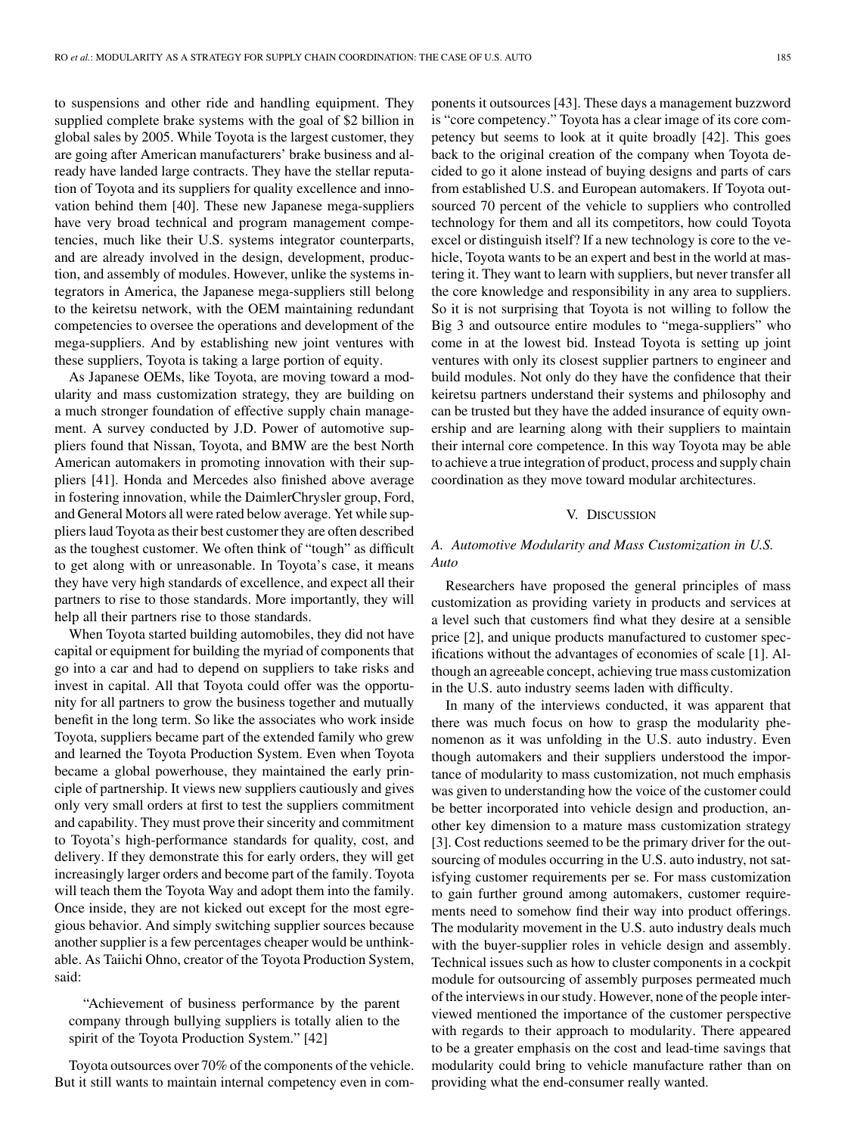to suspensions and other ride and handling equipment. They supplied complete brake systems with the goal of \$2 billion in global sales by 2005. While Toyota is the largest customer, they are going after American manufacturers' brake business and already have landed large contracts. They have the stellar reputation of Toyota and its suppliers for quality excellence and innovation behind them [\[40\].](#page-17-0) These new Japanese mega-suppliers have very broad technical and program management competencies, much like their U.S. systems integrator counterparts, and are already involved in the design, development, production, and assembly of modules. However, unlike the systems integrators in America, the Japanese mega-suppliers still belong to the keiretsu network, with the OEM maintaining redundant competencies to oversee the operations and development of the mega-suppliers. And by establishing new joint ventures with these suppliers, Toyota is taking a large portion of equity.

As Japanese OEMs, like Toyota, are moving toward a modularity and mass customization strategy, they are building on a much stronger foundation of effective supply chain management. A survey conducted by J.D. Power of automotive suppliers found that Nissan, Toyota, and BMW are the best North American automakers in promoting innovation with their suppliers [\[41\]](#page-17-0). Honda and Mercedes also finished above average in fostering innovation, while the DaimlerChrysler group, Ford, and General Motors all were rated below average. Yet while suppliers laud Toyota as their best customer they are often described as the toughest customer. We often think of "tough" as difficult to get along with or unreasonable. In Toyota's case, it means they have very high standards of excellence, and expect all their partners to rise to those standards. More importantly, they will help all their partners rise to those standards.

When Toyota started building automobiles, they did not have capital or equipment for building the myriad of components that go into a car and had to depend on suppliers to take risks and invest in capital. All that Toyota could offer was the opportunity for all partners to grow the business together and mutually benefit in the long term. So like the associates who work inside Toyota, suppliers became part of the extended family who grew and learned the Toyota Production System. Even when Toyota became a global powerhouse, they maintained the early principle of partnership. It views new suppliers cautiously and gives only very small orders at first to test the suppliers commitment and capability. They must prove their sincerity and commitment to Toyota's high-performance standards for quality, cost, and delivery. If they demonstrate this for early orders, they will get increasingly larger orders and become part of the family. Toyota will teach them the Toyota Way and adopt them into the family. Once inside, they are not kicked out except for the most egregious behavior. And simply switching supplier sources because another supplier is a few percentages cheaper would be unthinkable. As Taiichi Ohno, creator of the Toyota Production System, said:

"Achievement of business performance by the parent company through bullying suppliers is totally alien to the spirit of the Toyota Production System." [\[42\]](#page-17-0)

Toyota outsources over 70% of the components of the vehicle. But it still wants to maintain internal competency even in components it outsources [\[43\]](#page-17-0). These days a management buzzword is "core competency." Toyota has a clear image of its core competency but seems to look at it quite broadly [\[42\]](#page-17-0). This goes back to the original creation of the company when Toyota decided to go it alone instead of buying designs and parts of cars from established U.S. and European automakers. If Toyota outsourced 70 percent of the vehicle to suppliers who controlled technology for them and all its competitors, how could Toyota excel or distinguish itself? If a new technology is core to the vehicle, Toyota wants to be an expert and best in the world at mastering it. They want to learn with suppliers, but never transfer all the core knowledge and responsibility in any area to suppliers. So it is not surprising that Toyota is not willing to follow the Big 3 and outsource entire modules to "mega-suppliers" who come in at the lowest bid. Instead Toyota is setting up joint ventures with only its closest supplier partners to engineer and build modules. Not only do they have the confidence that their keiretsu partners understand their systems and philosophy and can be trusted but they have the added insurance of equity ownership and are learning along with their suppliers to maintain their internal core competence. In this way Toyota may be able to achieve a true integration of product, process and supply chain coordination as they move toward modular architectures.

# V. DISCUSSION

# *A. Automotive Modularity and Mass Customization in U.S. Auto*

Researchers have proposed the general principles of mass customization as providing variety in products and services at a level such that customers find what they desire at a sensible price [\[2\]](#page-16-0), and unique products manufactured to customer specifications without the advantages of economies of scale [\[1\]](#page-16-0). Although an agreeable concept, achieving true mass customization in the U.S. auto industry seems laden with difficulty.

In many of the interviews conducted, it was apparent that there was much focus on how to grasp the modularity phenomenon as it was unfolding in the U.S. auto industry. Even though automakers and their suppliers understood the importance of modularity to mass customization, not much emphasis was given to understanding how the voice of the customer could be better incorporated into vehicle design and production, another key dimension to a mature mass customization strategy [\[3\].](#page-16-0) Cost reductions seemed to be the primary driver for the outsourcing of modules occurring in the U.S. auto industry, not satisfying customer requirements per se. For mass customization to gain further ground among automakers, customer requirements need to somehow find their way into product offerings. The modularity movement in the U.S. auto industry deals much with the buyer-supplier roles in vehicle design and assembly. Technical issues such as how to cluster components in a cockpit module for outsourcing of assembly purposes permeated much of the interviews in our study. However, none of the people interviewed mentioned the importance of the customer perspective with regards to their approach to modularity. There appeared to be a greater emphasis on the cost and lead-time savings that modularity could bring to vehicle manufacture rather than on providing what the end-consumer really wanted.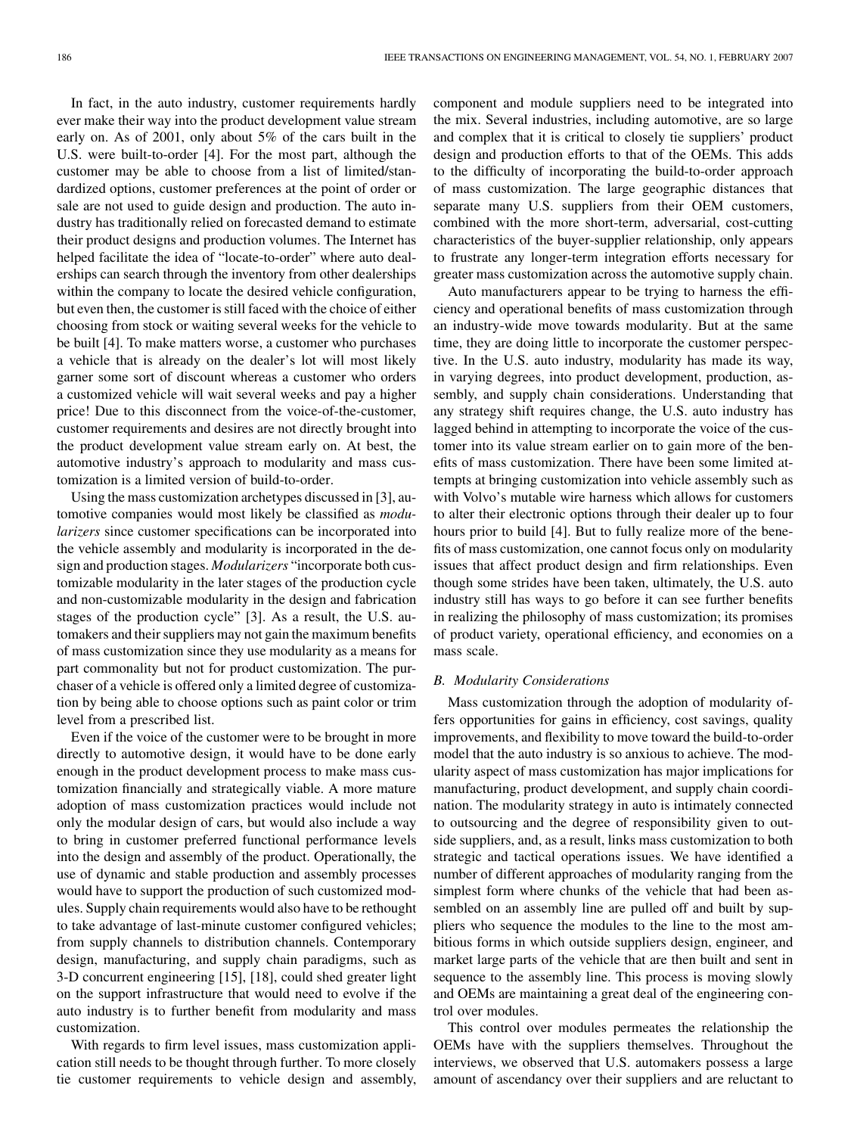In fact, in the auto industry, customer requirements hardly ever make their way into the product development value stream early on. As of 2001, only about 5% of the cars built in the U.S. were built-to-order [\[4\].](#page-16-0) For the most part, although the customer may be able to choose from a list of limited/standardized options, customer preferences at the point of order or sale are not used to guide design and production. The auto industry has traditionally relied on forecasted demand to estimate their product designs and production volumes. The Internet has helped facilitate the idea of "locate-to-order" where auto dealerships can search through the inventory from other dealerships within the company to locate the desired vehicle configuration, but even then, the customer is still faced with the choice of either choosing from stock or waiting several weeks for the vehicle to be built [\[4\].](#page-16-0) To make matters worse, a customer who purchases a vehicle that is already on the dealer's lot will most likely garner some sort of discount whereas a customer who orders a customized vehicle will wait several weeks and pay a higher price! Due to this disconnect from the voice-of-the-customer, customer requirements and desires are not directly brought into the product development value stream early on. At best, the automotive industry's approach to modularity and mass customization is a limited version of build-to-order.

Using the mass customization archetypes discussed in [\[3\],](#page-16-0) automotive companies would most likely be classified as *modularizers* since customer specifications can be incorporated into the vehicle assembly and modularity is incorporated in the design and production stages. *Modularizers* "incorporate both customizable modularity in the later stages of the production cycle and non-customizable modularity in the design and fabrication stages of the production cycle" [\[3\]](#page-16-0). As a result, the U.S. automakers and their suppliers may not gain the maximum benefits of mass customization since they use modularity as a means for part commonality but not for product customization. The purchaser of a vehicle is offered only a limited degree of customization by being able to choose options such as paint color or trim level from a prescribed list.

Even if the voice of the customer were to be brought in more directly to automotive design, it would have to be done early enough in the product development process to make mass customization financially and strategically viable. A more mature adoption of mass customization practices would include not only the modular design of cars, but would also include a way to bring in customer preferred functional performance levels into the design and assembly of the product. Operationally, the use of dynamic and stable production and assembly processes would have to support the production of such customized modules. Supply chain requirements would also have to be rethought to take advantage of last-minute customer configured vehicles; from supply channels to distribution channels. Contemporary design, manufacturing, and supply chain paradigms, such as 3-D concurrent engineering [\[15\]](#page-16-0), [\[18\]](#page-16-0), could shed greater light on the support infrastructure that would need to evolve if the auto industry is to further benefit from modularity and mass customization.

With regards to firm level issues, mass customization application still needs to be thought through further. To more closely tie customer requirements to vehicle design and assembly, component and module suppliers need to be integrated into the mix. Several industries, including automotive, are so large and complex that it is critical to closely tie suppliers' product design and production efforts to that of the OEMs. This adds to the difficulty of incorporating the build-to-order approach of mass customization. The large geographic distances that separate many U.S. suppliers from their OEM customers, combined with the more short-term, adversarial, cost-cutting characteristics of the buyer-supplier relationship, only appears to frustrate any longer-term integration efforts necessary for greater mass customization across the automotive supply chain.

Auto manufacturers appear to be trying to harness the efficiency and operational benefits of mass customization through an industry-wide move towards modularity. But at the same time, they are doing little to incorporate the customer perspective. In the U.S. auto industry, modularity has made its way, in varying degrees, into product development, production, assembly, and supply chain considerations. Understanding that any strategy shift requires change, the U.S. auto industry has lagged behind in attempting to incorporate the voice of the customer into its value stream earlier on to gain more of the benefits of mass customization. There have been some limited attempts at bringing customization into vehicle assembly such as with Volvo's mutable wire harness which allows for customers to alter their electronic options through their dealer up to four hours prior to build [\[4\]](#page-16-0). But to fully realize more of the benefits of mass customization, one cannot focus only on modularity issues that affect product design and firm relationships. Even though some strides have been taken, ultimately, the U.S. auto industry still has ways to go before it can see further benefits in realizing the philosophy of mass customization; its promises of product variety, operational efficiency, and economies on a mass scale.

## *B. Modularity Considerations*

Mass customization through the adoption of modularity offers opportunities for gains in efficiency, cost savings, quality improvements, and flexibility to move toward the build-to-order model that the auto industry is so anxious to achieve. The modularity aspect of mass customization has major implications for manufacturing, product development, and supply chain coordination. The modularity strategy in auto is intimately connected to outsourcing and the degree of responsibility given to outside suppliers, and, as a result, links mass customization to both strategic and tactical operations issues. We have identified a number of different approaches of modularity ranging from the simplest form where chunks of the vehicle that had been assembled on an assembly line are pulled off and built by suppliers who sequence the modules to the line to the most ambitious forms in which outside suppliers design, engineer, and market large parts of the vehicle that are then built and sent in sequence to the assembly line. This process is moving slowly and OEMs are maintaining a great deal of the engineering control over modules.

This control over modules permeates the relationship the OEMs have with the suppliers themselves. Throughout the interviews, we observed that U.S. automakers possess a large amount of ascendancy over their suppliers and are reluctant to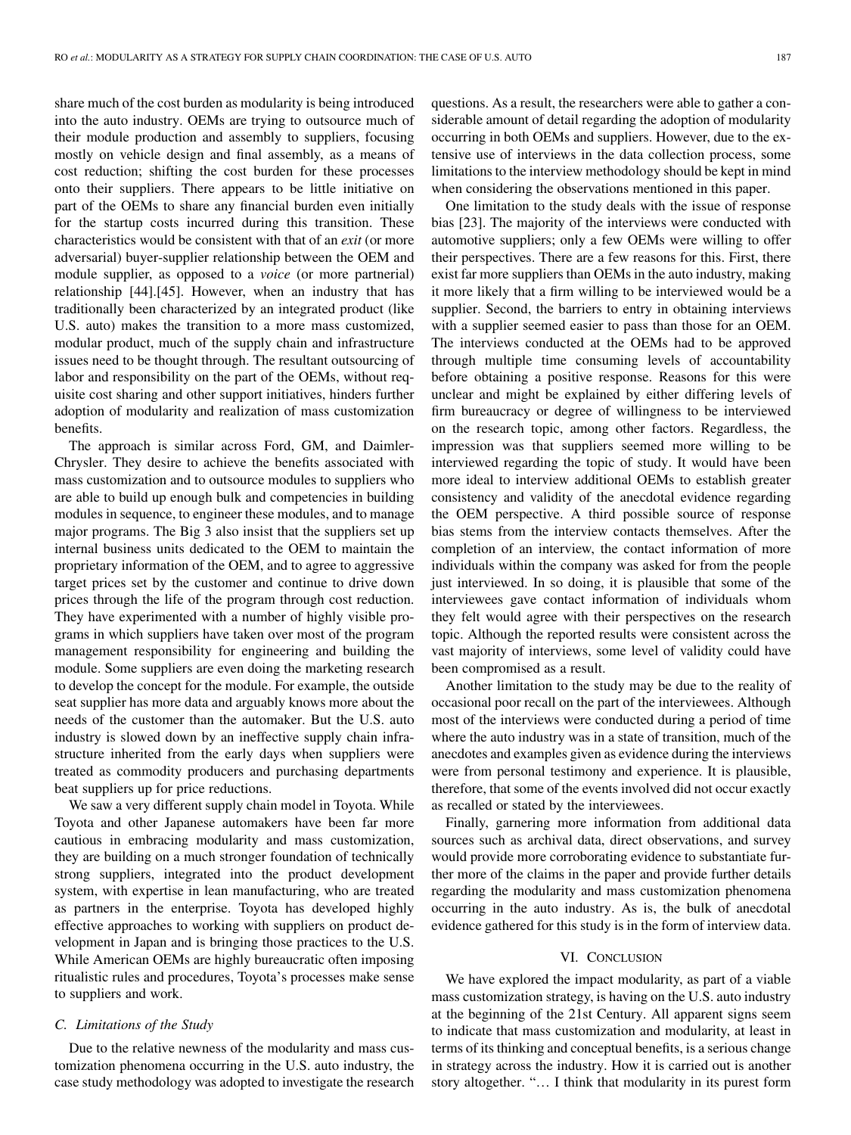share much of the cost burden as modularity is being introduced into the auto industry. OEMs are trying to outsource much of their module production and assembly to suppliers, focusing mostly on vehicle design and final assembly, as a means of cost reduction; shifting the cost burden for these processes onto their suppliers. There appears to be little initiative on part of the OEMs to share any financial burden even initially for the startup costs incurred during this transition. These characteristics would be consistent with that of an *exit* (or more adversarial) buyer-supplier relationship between the OEM and module supplier, as opposed to a *voice* (or more partnerial) relationship [\[44\].\[45\].](#page-17-0) However, when an industry that has traditionally been characterized by an integrated product (like U.S. auto) makes the transition to a more mass customized, modular product, much of the supply chain and infrastructure issues need to be thought through. The resultant outsourcing of labor and responsibility on the part of the OEMs, without requisite cost sharing and other support initiatives, hinders further adoption of modularity and realization of mass customization benefits.

The approach is similar across Ford, GM, and Daimler-Chrysler. They desire to achieve the benefits associated with mass customization and to outsource modules to suppliers who are able to build up enough bulk and competencies in building modules in sequence, to engineer these modules, and to manage major programs. The Big 3 also insist that the suppliers set up internal business units dedicated to the OEM to maintain the proprietary information of the OEM, and to agree to aggressive target prices set by the customer and continue to drive down prices through the life of the program through cost reduction. They have experimented with a number of highly visible programs in which suppliers have taken over most of the program management responsibility for engineering and building the module. Some suppliers are even doing the marketing research to develop the concept for the module. For example, the outside seat supplier has more data and arguably knows more about the needs of the customer than the automaker. But the U.S. auto industry is slowed down by an ineffective supply chain infrastructure inherited from the early days when suppliers were treated as commodity producers and purchasing departments beat suppliers up for price reductions.

We saw a very different supply chain model in Toyota. While Toyota and other Japanese automakers have been far more cautious in embracing modularity and mass customization, they are building on a much stronger foundation of technically strong suppliers, integrated into the product development system, with expertise in lean manufacturing, who are treated as partners in the enterprise. Toyota has developed highly effective approaches to working with suppliers on product development in Japan and is bringing those practices to the U.S. While American OEMs are highly bureaucratic often imposing ritualistic rules and procedures, Toyota's processes make sense to suppliers and work.

#### *C. Limitations of the Study*

Due to the relative newness of the modularity and mass customization phenomena occurring in the U.S. auto industry, the case study methodology was adopted to investigate the research questions. As a result, the researchers were able to gather a considerable amount of detail regarding the adoption of modularity occurring in both OEMs and suppliers. However, due to the extensive use of interviews in the data collection process, some limitations to the interview methodology should be kept in mind when considering the observations mentioned in this paper.

One limitation to the study deals with the issue of response bias [\[23\].](#page-17-0) The majority of the interviews were conducted with automotive suppliers; only a few OEMs were willing to offer their perspectives. There are a few reasons for this. First, there exist far more suppliers than OEMs in the auto industry, making it more likely that a firm willing to be interviewed would be a supplier. Second, the barriers to entry in obtaining interviews with a supplier seemed easier to pass than those for an OEM. The interviews conducted at the OEMs had to be approved through multiple time consuming levels of accountability before obtaining a positive response. Reasons for this were unclear and might be explained by either differing levels of firm bureaucracy or degree of willingness to be interviewed on the research topic, among other factors. Regardless, the impression was that suppliers seemed more willing to be interviewed regarding the topic of study. It would have been more ideal to interview additional OEMs to establish greater consistency and validity of the anecdotal evidence regarding the OEM perspective. A third possible source of response bias stems from the interview contacts themselves. After the completion of an interview, the contact information of more individuals within the company was asked for from the people just interviewed. In so doing, it is plausible that some of the interviewees gave contact information of individuals whom they felt would agree with their perspectives on the research topic. Although the reported results were consistent across the vast majority of interviews, some level of validity could have been compromised as a result.

Another limitation to the study may be due to the reality of occasional poor recall on the part of the interviewees. Although most of the interviews were conducted during a period of time where the auto industry was in a state of transition, much of the anecdotes and examples given as evidence during the interviews were from personal testimony and experience. It is plausible, therefore, that some of the events involved did not occur exactly as recalled or stated by the interviewees.

Finally, garnering more information from additional data sources such as archival data, direct observations, and survey would provide more corroborating evidence to substantiate further more of the claims in the paper and provide further details regarding the modularity and mass customization phenomena occurring in the auto industry. As is, the bulk of anecdotal evidence gathered for this study is in the form of interview data.

#### VI. CONCLUSION

We have explored the impact modularity, as part of a viable mass customization strategy, is having on the U.S. auto industry at the beginning of the 21st Century. All apparent signs seem to indicate that mass customization and modularity, at least in terms of its thinking and conceptual benefits, is a serious change in strategy across the industry. How it is carried out is another story altogether. "… I think that modularity in its purest form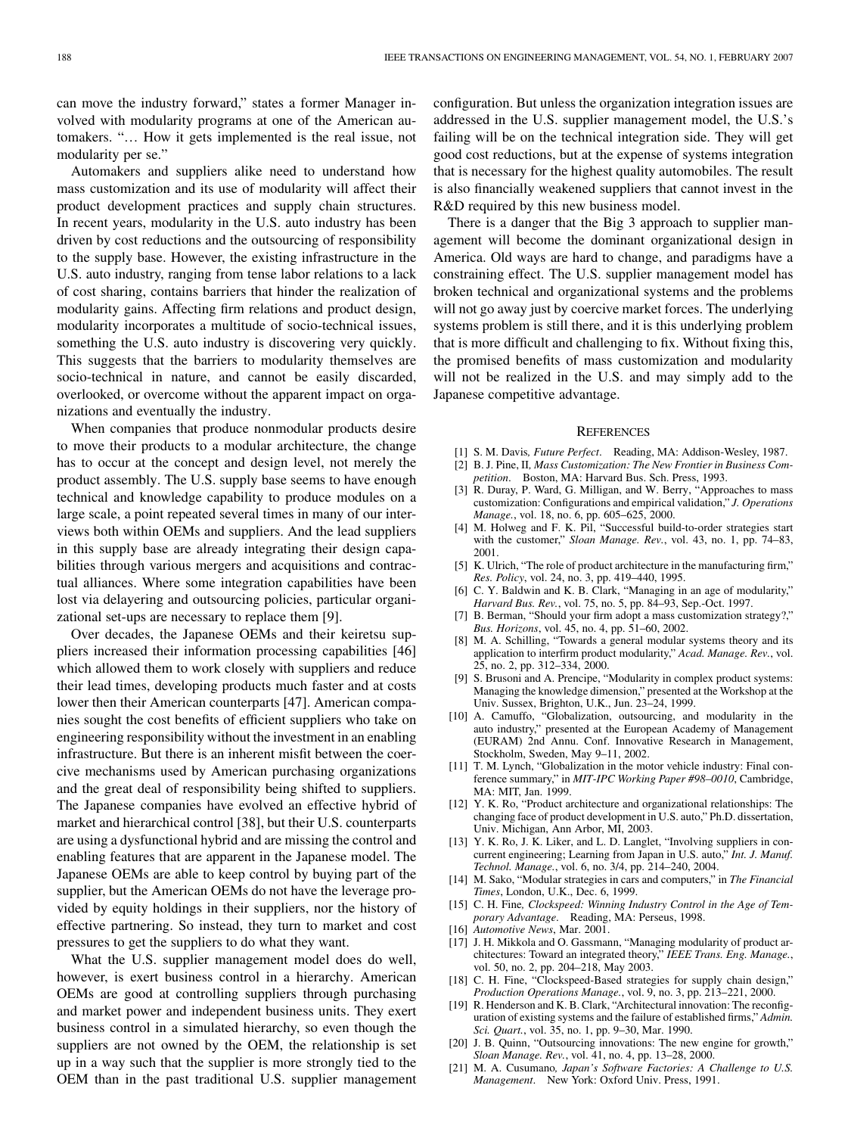<span id="page-16-0"></span>can move the industry forward," states a former Manager involved with modularity programs at one of the American automakers. "… How it gets implemented is the real issue, not modularity per se."

Automakers and suppliers alike need to understand how mass customization and its use of modularity will affect their product development practices and supply chain structures. In recent years, modularity in the U.S. auto industry has been driven by cost reductions and the outsourcing of responsibility to the supply base. However, the existing infrastructure in the U.S. auto industry, ranging from tense labor relations to a lack of cost sharing, contains barriers that hinder the realization of modularity gains. Affecting firm relations and product design, modularity incorporates a multitude of socio-technical issues, something the U.S. auto industry is discovering very quickly. This suggests that the barriers to modularity themselves are socio-technical in nature, and cannot be easily discarded, overlooked, or overcome without the apparent impact on organizations and eventually the industry.

When companies that produce nonmodular products desire to move their products to a modular architecture, the change has to occur at the concept and design level, not merely the product assembly. The U.S. supply base seems to have enough technical and knowledge capability to produce modules on a large scale, a point repeated several times in many of our interviews both within OEMs and suppliers. And the lead suppliers in this supply base are already integrating their design capabilities through various mergers and acquisitions and contractual alliances. Where some integration capabilities have been lost via delayering and outsourcing policies, particular organizational set-ups are necessary to replace them [9].

Over decades, the Japanese OEMs and their keiretsu suppliers increased their information processing capabilities [\[46\]](#page-17-0) which allowed them to work closely with suppliers and reduce their lead times, developing products much faster and at costs lower then their American counterparts [\[47\]](#page-17-0). American companies sought the cost benefits of efficient suppliers who take on engineering responsibility without the investment in an enabling infrastructure. But there is an inherent misfit between the coercive mechanisms used by American purchasing organizations and the great deal of responsibility being shifted to suppliers. The Japanese companies have evolved an effective hybrid of market and hierarchical control [\[38\],](#page-17-0) but their U.S. counterparts are using a dysfunctional hybrid and are missing the control and enabling features that are apparent in the Japanese model. The Japanese OEMs are able to keep control by buying part of the supplier, but the American OEMs do not have the leverage provided by equity holdings in their suppliers, nor the history of effective partnering. So instead, they turn to market and cost pressures to get the suppliers to do what they want.

What the U.S. supplier management model does do well, however, is exert business control in a hierarchy. American OEMs are good at controlling suppliers through purchasing and market power and independent business units. They exert business control in a simulated hierarchy, so even though the suppliers are not owned by the OEM, the relationship is set up in a way such that the supplier is more strongly tied to the OEM than in the past traditional U.S. supplier management configuration. But unless the organization integration issues are addressed in the U.S. supplier management model, the U.S.'s failing will be on the technical integration side. They will get good cost reductions, but at the expense of systems integration that is necessary for the highest quality automobiles. The result is also financially weakened suppliers that cannot invest in the R&D required by this new business model.

There is a danger that the Big 3 approach to supplier management will become the dominant organizational design in America. Old ways are hard to change, and paradigms have a constraining effect. The U.S. supplier management model has broken technical and organizational systems and the problems will not go away just by coercive market forces. The underlying systems problem is still there, and it is this underlying problem that is more difficult and challenging to fix. Without fixing this, the promised benefits of mass customization and modularity will not be realized in the U.S. and may simply add to the Japanese competitive advantage.

#### **REFERENCES**

- [1] S. M. Davis*, Future Perfect*. Reading, MA: Addison-Wesley, 1987.
- [2] B. J. Pine, II*, Mass Customization: The New Frontier in Business Competition*. Boston, MA: Harvard Bus. Sch. Press, 1993.
- [3] R. Duray, P. Ward, G. Milligan, and W. Berry, "Approaches to mass customization: Configurations and empirical validation," *J. Operations Manage.*, vol. 18, no. 6, pp. 605–625, 2000.
- [4] M. Holweg and F. K. Pil, "Successful build-to-order strategies start with the customer," *Sloan Manage. Rev.*, vol. 43, no. 1, pp. 74–83, 2001.
- [5] K. Ulrich, "The role of product architecture in the manufacturing firm," *Res. Policy*, vol. 24, no. 3, pp. 419–440, 1995.
- [6] C. Y. Baldwin and K. B. Clark, "Managing in an age of modularity," *Harvard Bus. Rev.*, vol. 75, no. 5, pp. 84–93, Sep.-Oct. 1997.
- [7] B. Berman, "Should your firm adopt a mass customization strategy?," *Bus. Horizons*, vol. 45, no. 4, pp. 51–60, 2002.
- [8] M. A. Schilling, "Towards a general modular systems theory and its application to interfirm product modularity," *Acad. Manage. Rev.*, vol. 25, no. 2, pp. 312–334, 2000.
- [9] S. Brusoni and A. Prencipe, "Modularity in complex product systems: Managing the knowledge dimension," presented at the Workshop at the Univ. Sussex, Brighton, U.K., Jun. 23–24, 1999.
- [10] A. Camuffo, "Globalization, outsourcing, and modularity in the auto industry," presented at the European Academy of Management (EURAM) 2nd Annu. Conf. Innovative Research in Management, Stockholm, Sweden, May 9–11, 2002.
- [11] T. M. Lynch, "Globalization in the motor vehicle industry: Final conference summary," in *MIT-IPC Working Paper #98–0010*, Cambridge, MA: MIT, Jan. 1999.
- [12] Y. K. Ro, "Product architecture and organizational relationships: The changing face of product development in U.S. auto," Ph.D. dissertation, Univ. Michigan, Ann Arbor, MI, 2003.
- [13] Y. K. Ro, J. K. Liker, and L. D. Langlet, "Involving suppliers in concurrent engineering; Learning from Japan in U.S. auto," *Int. J. Manuf. Technol. Manage.*, vol. 6, no. 3/4, pp. 214–240, 2004.
- [14] M. Sako, "Modular strategies in cars and computers," in *The Financial Times*, London, U.K., Dec. 6, 1999.
- [15] C. H. Fine*, Clockspeed: Winning Industry Control in the Age of Temporary Advantage*. Reading, MA: Perseus, 1998.
- [16] *Automotive News*, Mar. 2001.
- [17] J. H. Mikkola and O. Gassmann, "Managing modularity of product architectures: Toward an integrated theory," *IEEE Trans. Eng. Manage.*, vol. 50, no. 2, pp. 204–218, May 2003.
- [18] C. H. Fine, "Clockspeed-Based strategies for supply chain design," *Production Operations Manage.*, vol. 9, no. 3, pp. 213–221, 2000.
- [19] R. Henderson and K. B. Clark, "Architectural innovation: The reconfiguration of existing systems and the failure of established firms," *Admin. Sci. Quart.*, vol. 35, no. 1, pp. 9–30, Mar. 1990.
- [20] J. B. Quinn, "Outsourcing innovations: The new engine for growth," *Sloan Manage. Rev.*, vol. 41, no. 4, pp. 13–28, 2000.
- [21] M. A. Cusumano*, Japan's Software Factories: A Challenge to U.S. Management*. New York: Oxford Univ. Press, 1991.